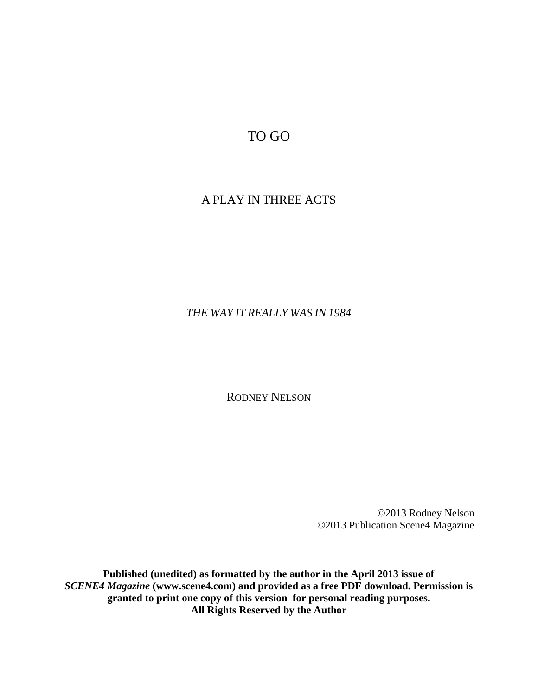# TO GO

## A PLAY IN THREE ACTS

*THE WAY IT REALLY WAS IN 1984* 

RODNEY NELSON

©2013 Rodney Nelson ©2013 Publication Scene4 Magazine

**Published (unedited) as formatted by the author in the April 2013 issue of**  *SCENE4 Magazine* **(www.scene4.com) and provided as a free PDF download. Permission is granted to print one copy of this version for personal reading purposes. All Rights Reserved by the Author**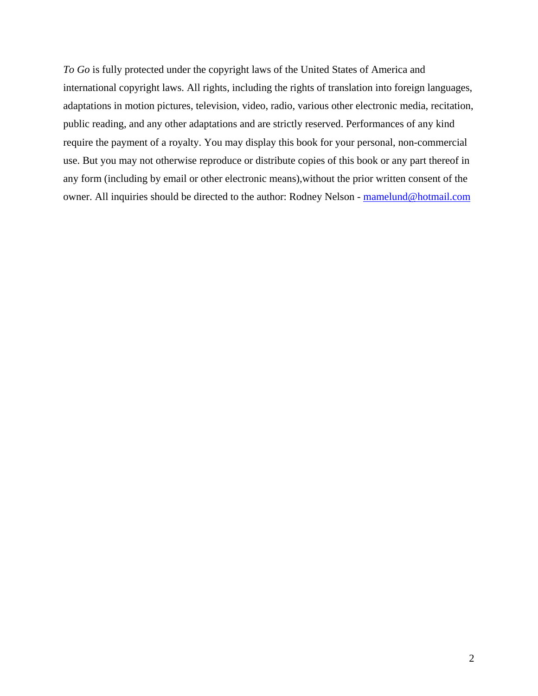*To Go* is fully protected under the copyright laws of the United States of America and international copyright laws. All rights, including the rights of translation into foreign languages, adaptations in motion pictures, television, video, radio, various other electronic media, recitation, public reading, and any other adaptations and are strictly reserved. Performances of any kind require the payment of a royalty. You may display this book for your personal, non-commercial use. But you may not otherwise reproduce or distribute copies of this book or any part thereof in any form (including by email or other electronic means),without the prior written consent of the owner. All inquiries should be directed to the author: Rodney Nelson - [mamelund@hotmail.com](mailto:mamelund@hotmail.com)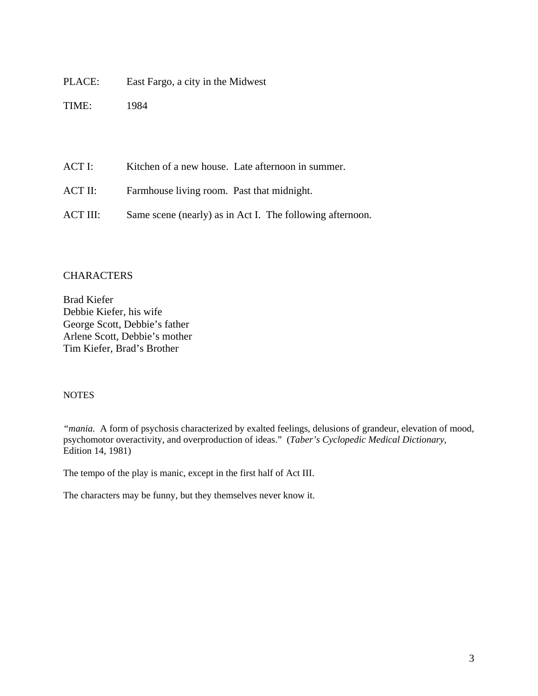- PLACE: East Fargo, a city in the Midwest
- TIME: 1984
- ACT I: Kitchen of a new house. Late afternoon in summer.
- ACT II: Farmhouse living room. Past that midnight.
- ACT III: Same scene (nearly) as in Act I. The following afternoon.

### CHARACTERS

Brad Kiefer Debbie Kiefer, his wife George Scott, Debbie's father Arlene Scott, Debbie's mother Tim Kiefer, Brad's Brother

#### NOTES

*"mania.* A form of psychosis characterized by exalted feelings, delusions of grandeur, elevation of mood, psychomotor overactivity, and overproduction of ideas." (*Taber's Cyclopedic Medical Dictionary*, Edition 14, 1981)

The tempo of the play is manic, except in the first half of Act III.

The characters may be funny, but they themselves never know it.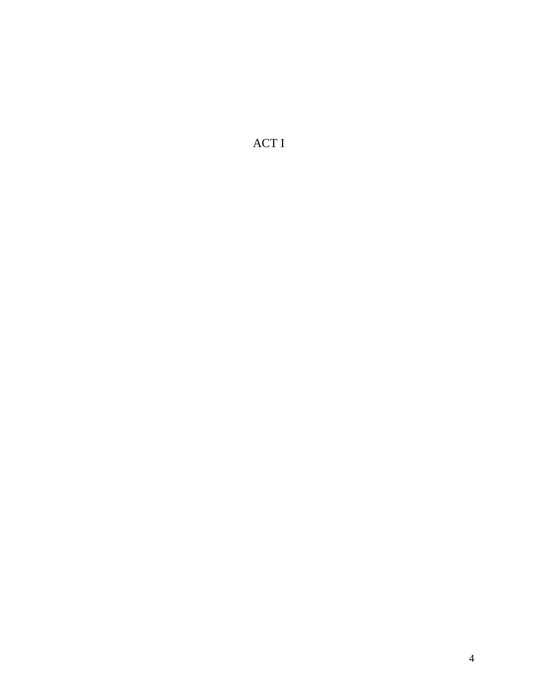ACT I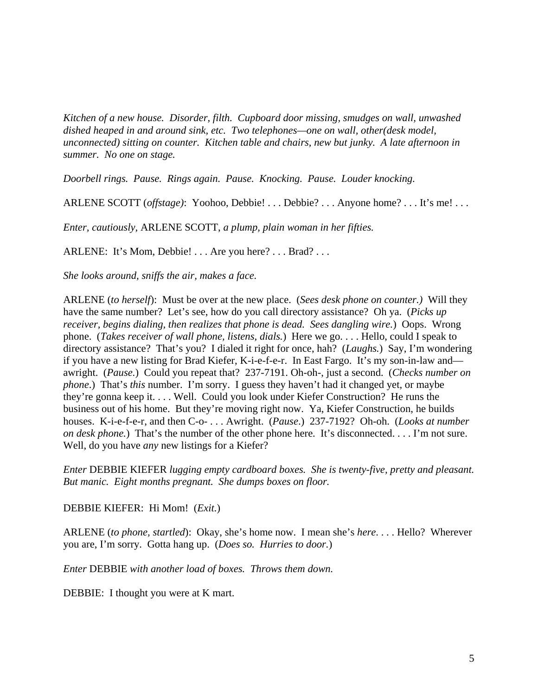*Kitchen of a new house. Disorder, filth. Cupboard door missing, smudges on wall, unwashed dished heaped in and around sink, etc. Two telephones—one on wall, other(desk model, unconnected) sitting on counter. Kitchen table and chairs, new but junky. A late afternoon in summer. No one on stage.* 

*Doorbell rings. Pause. Rings again. Pause. Knocking. Pause. Louder knocking.* 

ARLENE SCOTT (*offstage*): Yoohoo, Debbie! . . . Debbie? . . . Anyone home? . . . It's me! . . .

*Enter, cautiously,* ARLENE SCOTT, *a plump, plain woman in her fifties.*

ARLENE: It's Mom, Debbie! . . . Are you here? . . . Brad? . . .

*She looks around, sniffs the air, makes a face.*

ARLENE (*to herself*): Must be over at the new place. (*Sees desk phone on counter.)* Will they have the same number? Let's see, how do you call directory assistance? Oh ya. (*Picks up receiver, begins dialing, then realizes that phone is dead. Sees dangling wire.*) Oops. Wrong phone. (*Takes receiver of wall phone, listens, dials.*) Here we go. . . . Hello, could I speak to directory assistance? That's you? I dialed it right for once, hah? (*Laughs.*) Say, I'm wondering if you have a new listing for Brad Kiefer, K-i-e-f-e-r. In East Fargo. It's my son-in-law and awright. (*Pause.*) Could you repeat that? 237-7191. Oh-oh-, just a second. (*Checks number on phone*.) That's *this* number. I'm sorry. I guess they haven't had it changed yet, or maybe they're gonna keep it. . . . Well. Could you look under Kiefer Construction? He runs the business out of his home. But they're moving right now. Ya, Kiefer Construction, he builds houses. K-i-e-f-e-r, and then C-o- . . . Awright. (*Pause*.) 237-7192? Oh-oh. (*Looks at number on desk phone.*) That's the number of the other phone here. It's disconnected.... I'm not sure. Well, do you have *any* new listings for a Kiefer?

*Enter* DEBBIE KIEFER *lugging empty cardboard boxes. She is twenty-five, pretty and pleasant. But manic. Eight months pregnant. She dumps boxes on floor.* 

DEBBIE KIEFER: Hi Mom! (*Exit.*)

ARLENE (*to phone, startled*): Okay, she's home now. I mean she's *here*. . . . Hello? Wherever you are, I'm sorry. Gotta hang up. (*Does so. Hurries to door.*)

*Enter* DEBBIE *with another load of boxes. Throws them down.*

DEBBIE: I thought you were at K mart.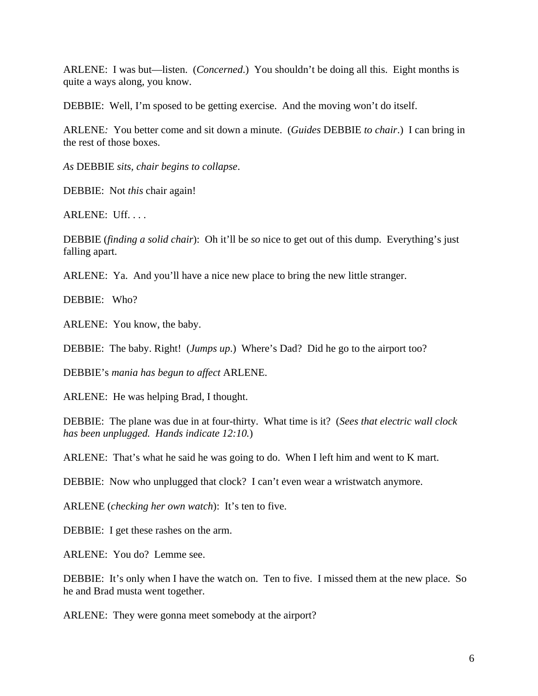ARLENE: I was but—listen. (*Concerned*.) You shouldn't be doing all this. Eight months is quite a ways along, you know.

DEBBIE: Well, I'm sposed to be getting exercise. And the moving won't do itself.

ARLENE*:* You better come and sit down a minute. (*Guides* DEBBIE *to chair*.) I can bring in the rest of those boxes.

*As* DEBBIE *sits, chair begins to collapse*.

DEBBIE: Not *this* chair again!

ARLENE: Uff. . . .

DEBBIE (*finding a solid chair*): Oh it'll be *so* nice to get out of this dump. Everything's just falling apart.

ARLENE: Ya. And you'll have a nice new place to bring the new little stranger.

DEBBIE: Who?

ARLENE: You know, the baby.

DEBBIE: The baby. Right! (*Jumps up*.) Where's Dad? Did he go to the airport too?

DEBBIE's *mania has begun to affect* ARLENE.

ARLENE: He was helping Brad, I thought.

DEBBIE: The plane was due in at four-thirty. What time is it? (*Sees that electric wall clock has been unplugged. Hands indicate 12:10.*)

ARLENE: That's what he said he was going to do. When I left him and went to K mart.

DEBBIE: Now who unplugged that clock? I can't even wear a wristwatch anymore.

ARLENE (*checking her own watch*): It's ten to five.

DEBBIE: I get these rashes on the arm.

ARLENE: You do? Lemme see.

DEBBIE: It's only when I have the watch on. Ten to five. I missed them at the new place. So he and Brad musta went together.

ARLENE: They were gonna meet somebody at the airport?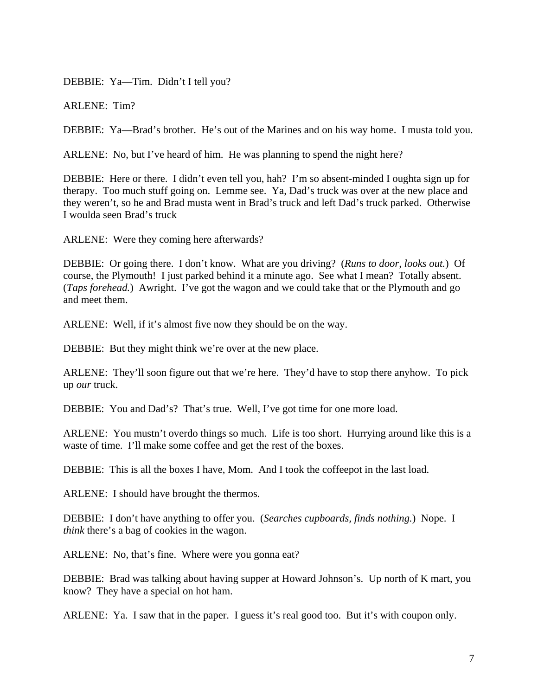DEBBIE: Ya—Tim. Didn't I tell you?

ARLENE: Tim?

DEBBIE: Ya—Brad's brother. He's out of the Marines and on his way home. I musta told you.

ARLENE: No, but I've heard of him. He was planning to spend the night here?

DEBBIE: Here or there. I didn't even tell you, hah? I'm so absent-minded I oughta sign up for therapy. Too much stuff going on. Lemme see. Ya, Dad's truck was over at the new place and they weren't, so he and Brad musta went in Brad's truck and left Dad's truck parked. Otherwise I woulda seen Brad's truck

ARLENE: Were they coming here afterwards?

DEBBIE: Or going there. I don't know. What are you driving? (*Runs to door, looks out.*) Of course, the Plymouth! I just parked behind it a minute ago. See what I mean? Totally absent. (*Taps forehead.*) Awright. I've got the wagon and we could take that or the Plymouth and go and meet them.

ARLENE: Well, if it's almost five now they should be on the way.

DEBBIE: But they might think we're over at the new place.

ARLENE: They'll soon figure out that we're here. They'd have to stop there anyhow. To pick up *our* truck.

DEBBIE: You and Dad's? That's true. Well, I've got time for one more load.

ARLENE: You mustn't overdo things so much. Life is too short. Hurrying around like this is a waste of time. I'll make some coffee and get the rest of the boxes.

DEBBIE: This is all the boxes I have, Mom. And I took the coffeepot in the last load.

ARLENE: I should have brought the thermos.

DEBBIE: I don't have anything to offer you. (*Searches cupboards, finds nothing.*) Nope. I *think* there's a bag of cookies in the wagon.

ARLENE: No, that's fine. Where were you gonna eat?

DEBBIE: Brad was talking about having supper at Howard Johnson's. Up north of K mart, you know? They have a special on hot ham.

ARLENE: Ya. I saw that in the paper. I guess it's real good too. But it's with coupon only.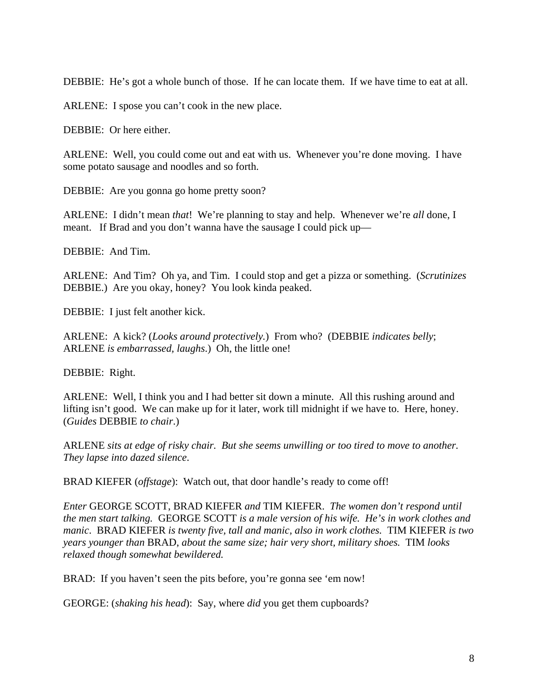DEBBIE: He's got a whole bunch of those. If he can locate them. If we have time to eat at all.

ARLENE: I spose you can't cook in the new place.

DEBBIE: Or here either.

ARLENE: Well, you could come out and eat with us. Whenever you're done moving. I have some potato sausage and noodles and so forth.

DEBBIE: Are you gonna go home pretty soon?

ARLENE: I didn't mean *that*! We're planning to stay and help. Whenever we're *all* done, I meant. If Brad and you don't wanna have the sausage I could pick up—

DEBBIE: And Tim.

ARLENE: And Tim? Oh ya, and Tim. I could stop and get a pizza or something. (*Scrutinizes* DEBBIE.) Are you okay, honey? You look kinda peaked.

DEBBIE: I just felt another kick.

ARLENE: A kick? (*Looks around protectively.*) From who? (DEBBIE *indicates belly*; ARLENE *is embarrassed, laughs*.) Oh, the little one!

DEBBIE: Right.

ARLENE: Well, I think you and I had better sit down a minute. All this rushing around and lifting isn't good. We can make up for it later, work till midnight if we have to. Here, honey. (*Guides* DEBBIE *to chair*.)

ARLENE *sits at edge of risky chair. But she seems unwilling or too tired to move to another. They lapse into dazed silence*.

BRAD KIEFER (*offstage*): Watch out, that door handle's ready to come off!

*Enter* GEORGE SCOTT, BRAD KIEFER *and* TIM KIEFER. *The women don't respond until the men start talking.* GEORGE SCOTT *is a male version of his wife. He's in work clothes and manic*. BRAD KIEFER *is twenty five, tall and manic, also in work clothes.* TIM KIEFER *is two years younger than* BRAD, *about the same size; hair very short, military shoes.* TIM *looks relaxed though somewhat bewildered.*

BRAD: If you haven't seen the pits before, you're gonna see 'em now!

GEORGE: (*shaking his head*): Say, where *did* you get them cupboards?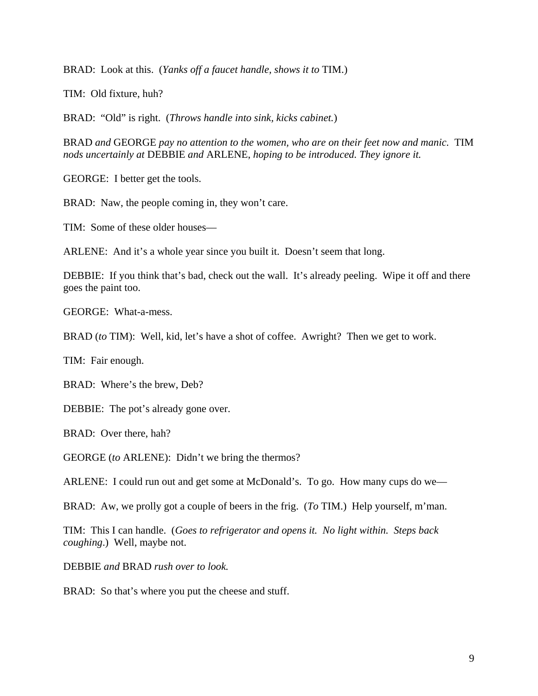BRAD: Look at this. (*Yanks off a faucet handle, shows it to* TIM.)

TIM: Old fixture, huh?

BRAD: "Old" is right. (*Throws handle into sink, kicks cabinet.*)

BRAD *and* GEORGE *pay no attention to the women, who are on their feet now and manic.* TIM *nods uncertainly at* DEBBIE *and* ARLENE, *hoping to be introduced. They ignore it.* 

GEORGE: I better get the tools.

BRAD: Naw, the people coming in, they won't care.

TIM: Some of these older houses—

ARLENE: And it's a whole year since you built it. Doesn't seem that long.

DEBBIE: If you think that's bad, check out the wall. It's already peeling. Wipe it off and there goes the paint too.

GEORGE: What-a-mess.

BRAD (*to* TIM): Well, kid, let's have a shot of coffee. Awright? Then we get to work.

TIM: Fair enough.

BRAD: Where's the brew, Deb?

DEBBIE: The pot's already gone over.

BRAD: Over there, hah?

GEORGE (*to* ARLENE): Didn't we bring the thermos?

ARLENE: I could run out and get some at McDonald's. To go. How many cups do we—

BRAD: Aw, we prolly got a couple of beers in the frig. (*To* TIM.) Help yourself, m'man.

TIM: This I can handle. (*Goes to refrigerator and opens it. No light within. Steps back coughing*.) Well, maybe not.

DEBBIE *and* BRAD *rush over to look.* 

BRAD: So that's where you put the cheese and stuff.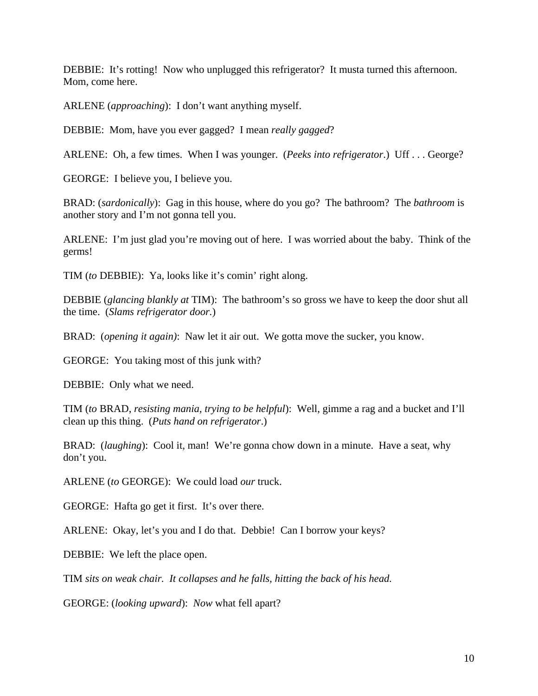DEBBIE: It's rotting! Now who unplugged this refrigerator? It must aturned this afternoon. Mom, come here.

ARLENE (*approaching*): I don't want anything myself.

DEBBIE: Mom, have you ever gagged? I mean *really gagged*?

ARLENE: Oh, a few times. When I was younger. (*Peeks into refrigerator*.) Uff . . . George?

GEORGE: I believe you, I believe you.

BRAD: (*sardonically*): Gag in this house, where do you go? The bathroom? The *bathroom* is another story and I'm not gonna tell you.

ARLENE: I'm just glad you're moving out of here. I was worried about the baby. Think of the germs!

TIM (*to* DEBBIE): Ya, looks like it's comin' right along.

DEBBIE (*glancing blankly at* TIM): The bathroom's so gross we have to keep the door shut all the time. (*Slams refrigerator door.*)

BRAD: (*opening it again)*: Naw let it air out. We gotta move the sucker, you know.

GEORGE: You taking most of this junk with?

DEBBIE: Only what we need.

TIM (*to* BRAD, *resisting mania, trying to be helpful*): Well, gimme a rag and a bucket and I'll clean up this thing. (*Puts hand on refrigerator*.)

BRAD: (*laughing*): Cool it, man! We're gonna chow down in a minute. Have a seat, why don't you.

ARLENE (*to* GEORGE): We could load *our* truck.

GEORGE: Hafta go get it first. It's over there.

ARLENE: Okay, let's you and I do that. Debbie! Can I borrow your keys?

DEBBIE: We left the place open.

TIM *sits on weak chair. It collapses and he falls, hitting the back of his head.*

GEORGE: (*looking upward*): *Now* what fell apart?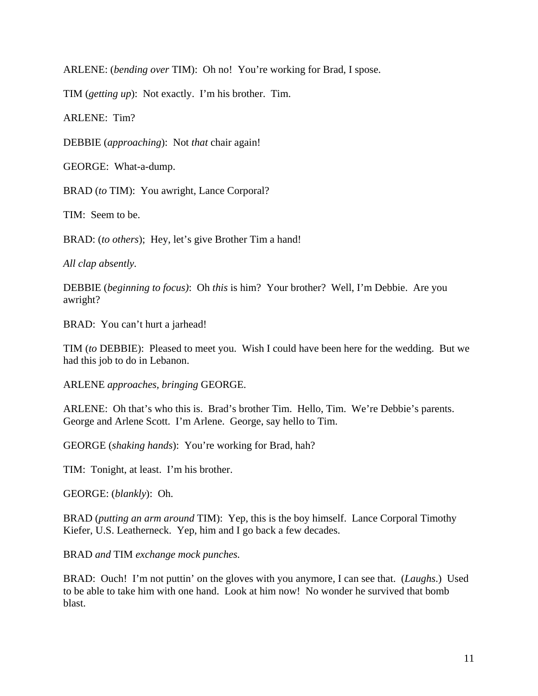ARLENE: (*bending over* TIM): Oh no! You're working for Brad, I spose.

TIM (*getting up*): Not exactly. I'm his brother. Tim.

ARLENE: Tim?

DEBBIE (*approaching*): Not *that* chair again!

GEORGE: What-a-dump.

BRAD (*to* TIM): You awright, Lance Corporal?

TIM: Seem to be.

BRAD: (*to others*); Hey, let's give Brother Tim a hand!

*All clap absently.*

DEBBIE (*beginning to focus)*: Oh *this* is him? Your brother? Well, I'm Debbie. Are you awright?

BRAD: You can't hurt a jarhead!

TIM (*to* DEBBIE): Pleased to meet you. Wish I could have been here for the wedding. But we had this job to do in Lebanon.

ARLENE *approaches, bringing* GEORGE.

ARLENE: Oh that's who this is. Brad's brother Tim. Hello, Tim. We're Debbie's parents. George and Arlene Scott. I'm Arlene. George, say hello to Tim.

GEORGE (*shaking hands*): You're working for Brad, hah?

TIM: Tonight, at least. I'm his brother.

GEORGE: (*blankly*): Oh.

BRAD (*putting an arm around* TIM): Yep, this is the boy himself. Lance Corporal Timothy Kiefer, U.S. Leatherneck. Yep, him and I go back a few decades.

BRAD *and* TIM *exchange mock punches.*

BRAD: Ouch! I'm not puttin' on the gloves with you anymore, I can see that. (*Laughs*.) Used to be able to take him with one hand. Look at him now! No wonder he survived that bomb blast.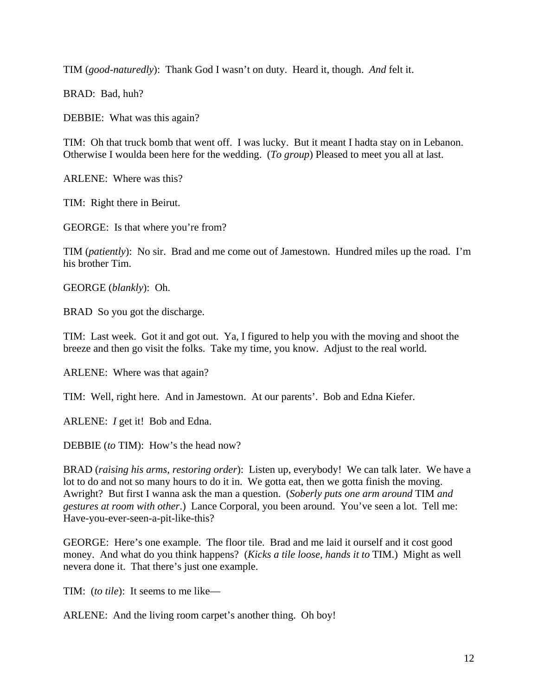TIM (*good-naturedly*): Thank God I wasn't on duty. Heard it, though. *And* felt it.

BRAD: Bad, huh?

DEBBIE: What was this again?

TIM: Oh that truck bomb that went off. I was lucky. But it meant I hadta stay on in Lebanon. Otherwise I woulda been here for the wedding. (*To group*) Pleased to meet you all at last.

ARLENE: Where was this?

TIM: Right there in Beirut.

GEORGE: Is that where you're from?

TIM (*patiently*): No sir. Brad and me come out of Jamestown. Hundred miles up the road. I'm his brother Tim.

GEORGE (*blankly*): Oh.

BRAD So you got the discharge.

TIM: Last week. Got it and got out. Ya, I figured to help you with the moving and shoot the breeze and then go visit the folks. Take my time, you know. Adjust to the real world.

ARLENE: Where was that again?

TIM: Well, right here. And in Jamestown. At our parents'. Bob and Edna Kiefer.

ARLENE: *I* get it! Bob and Edna.

DEBBIE (*to* TIM): How's the head now?

BRAD (*raising his arms, restoring order*): Listen up, everybody! We can talk later. We have a lot to do and not so many hours to do it in. We gotta eat, then we gotta finish the moving. Awright? But first I wanna ask the man a question. (*Soberly puts one arm around* TIM *and gestures at room with other*.) Lance Corporal, you been around. You've seen a lot. Tell me: Have-you-ever-seen-a-pit-like-this?

GEORGE: Here's one example. The floor tile. Brad and me laid it ourself and it cost good money. And what do you think happens? (*Kicks a tile loose, hands it to* TIM.) Might as well nevera done it. That there's just one example.

TIM: (*to tile*): It seems to me like—

ARLENE: And the living room carpet's another thing. Oh boy!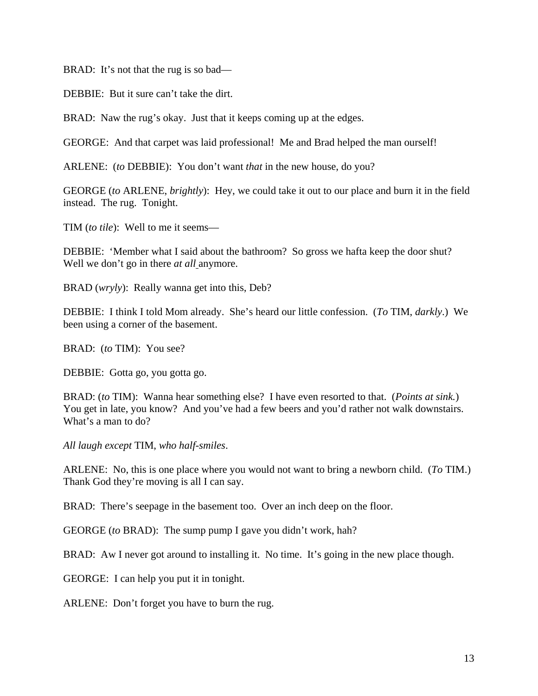BRAD: It's not that the rug is so bad—

DEBBIE: But it sure can't take the dirt.

BRAD: Naw the rug's okay. Just that it keeps coming up at the edges.

GEORGE: And that carpet was laid professional! Me and Brad helped the man ourself!

ARLENE: (*to* DEBBIE): You don't want *that* in the new house, do you?

GEORGE (*to* ARLENE, *brightly*): Hey, we could take it out to our place and burn it in the field instead. The rug. Tonight.

TIM (*to tile*): Well to me it seems—

DEBBIE: 'Member what I said about the bathroom? So gross we hafta keep the door shut? Well we don't go in there *at all* anymore.

BRAD (*wryly*): Really wanna get into this, Deb?

DEBBIE: I think I told Mom already. She's heard our little confession. (*To* TIM, *darkly*.) We been using a corner of the basement.

BRAD: (*to* TIM): You see?

DEBBIE: Gotta go, you gotta go.

BRAD: (*to* TIM): Wanna hear something else? I have even resorted to that. (*Points at sink.*) You get in late, you know? And you've had a few beers and you'd rather not walk downstairs. What's a man to do?

*All laugh except* TIM, *who half-smiles*.

ARLENE: No, this is one place where you would not want to bring a newborn child. (*To* TIM.) Thank God they're moving is all I can say.

BRAD: There's seepage in the basement too. Over an inch deep on the floor.

GEORGE (*to* BRAD): The sump pump I gave you didn't work, hah?

BRAD: Aw I never got around to installing it. No time. It's going in the new place though.

GEORGE: I can help you put it in tonight.

ARLENE: Don't forget you have to burn the rug.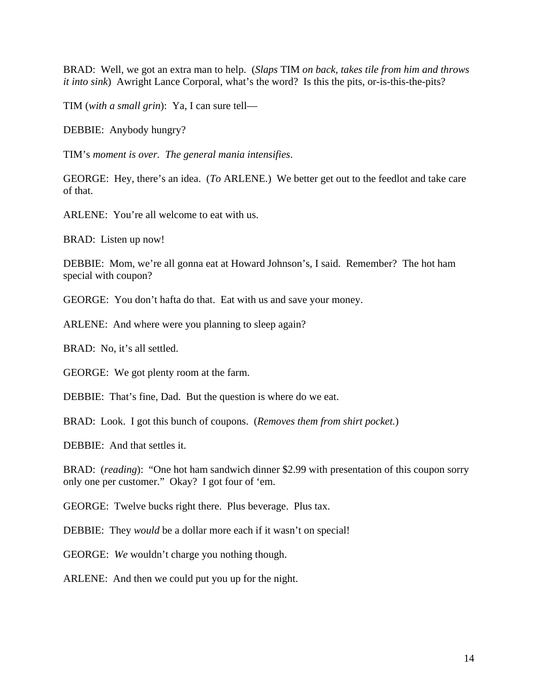BRAD: Well, we got an extra man to help. (*Slaps* TIM *on back, takes tile from him and throws it into sink*) Awright Lance Corporal, what's the word? Is this the pits, or-is-this-the-pits?

TIM (*with a small grin*): Ya, I can sure tell—

DEBBIE: Anybody hungry?

TIM's *moment is over. The general mania intensifies*.

GEORGE: Hey, there's an idea. (*To* ARLENE.) We better get out to the feedlot and take care of that.

ARLENE: You're all welcome to eat with us.

BRAD: Listen up now!

DEBBIE: Mom, we're all gonna eat at Howard Johnson's, I said. Remember? The hot ham special with coupon?

GEORGE: You don't hafta do that. Eat with us and save your money.

ARLENE: And where were you planning to sleep again?

BRAD: No, it's all settled.

GEORGE: We got plenty room at the farm.

DEBBIE: That's fine, Dad. But the question is where do we eat.

BRAD: Look. I got this bunch of coupons. (*Removes them from shirt pocket.*)

DEBBIE: And that settles it.

BRAD: (*reading*): "One hot ham sandwich dinner \$2.99 with presentation of this coupon sorry only one per customer." Okay? I got four of 'em.

GEORGE: Twelve bucks right there. Plus beverage. Plus tax.

DEBBIE: They *would* be a dollar more each if it wasn't on special!

GEORGE: *We* wouldn't charge you nothing though.

ARLENE: And then we could put you up for the night.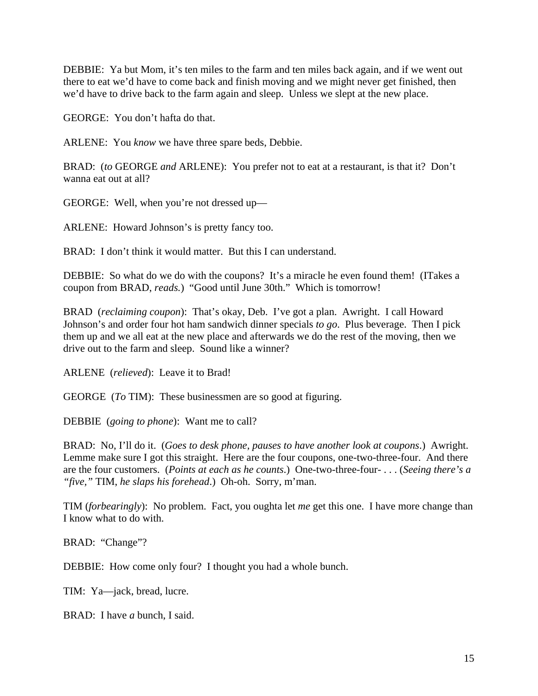DEBBIE: Ya but Mom, it's ten miles to the farm and ten miles back again, and if we went out there to eat we'd have to come back and finish moving and we might never get finished, then we'd have to drive back to the farm again and sleep. Unless we slept at the new place.

GEORGE: You don't hafta do that.

ARLENE: You *know* we have three spare beds, Debbie.

BRAD: (*to* GEORGE *and* ARLENE): You prefer not to eat at a restaurant, is that it? Don't wanna eat out at all?

GEORGE: Well, when you're not dressed up—

ARLENE: Howard Johnson's is pretty fancy too.

BRAD: I don't think it would matter. But this I can understand.

DEBBIE: So what do we do with the coupons? It's a miracle he even found them! (ITakes a coupon from BRAD, *reads.*) "Good until June 30th." Which is tomorrow!

BRAD (*reclaiming coupon*): That's okay, Deb. I've got a plan. Awright. I call Howard Johnson's and order four hot ham sandwich dinner specials *to go*. Plus beverage. Then I pick them up and we all eat at the new place and afterwards we do the rest of the moving, then we drive out to the farm and sleep. Sound like a winner?

ARLENE (*relieved*): Leave it to Brad!

GEORGE (*To* TIM): These businessmen are so good at figuring.

DEBBIE (*going to phone*): Want me to call?

BRAD: No, I'll do it. (*Goes to desk phone, pauses to have another look at coupons*.) Awright. Lemme make sure I got this straight. Here are the four coupons, one-two-three-four. And there are the four customers. (*Points at each as he counts*.) One-two-three-four- . . . (*Seeing there's a "five,"* TIM, *he slaps his forehead*.) Oh-oh. Sorry, m'man.

TIM (*forbearingly*): No problem. Fact, you oughta let *me* get this one. I have more change than I know what to do with.

BRAD: "Change"?

DEBBIE: How come only four? I thought you had a whole bunch.

TIM: Ya—jack, bread, lucre.

BRAD: I have *a* bunch, I said.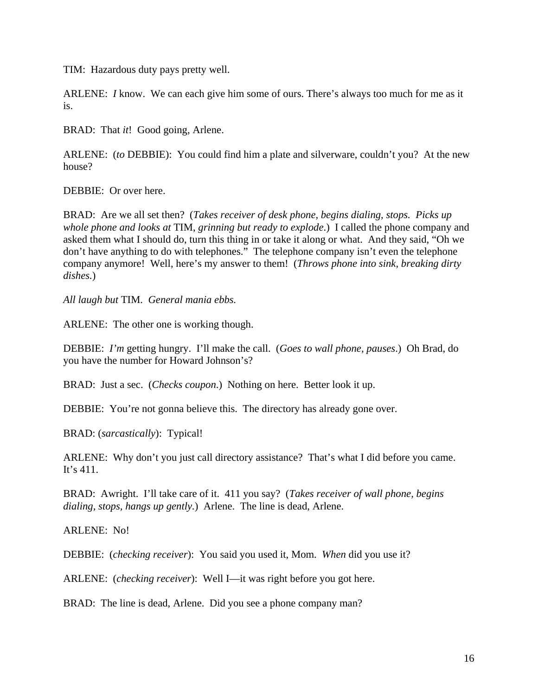TIM: Hazardous duty pays pretty well.

ARLENE: *I* know. We can each give him some of ours. There's always too much for me as it is.

BRAD: That *it*! Good going, Arlene.

ARLENE: (*to* DEBBIE): You could find him a plate and silverware, couldn't you? At the new house?

DEBBIE: Or over here.

BRAD: Are we all set then? (*Takes receiver of desk phone, begins dialing, stops. Picks up whole phone and looks at* TIM, *grinning but ready to explode*.) I called the phone company and asked them what I should do, turn this thing in or take it along or what. And they said, "Oh we don't have anything to do with telephones." The telephone company isn't even the telephone company anymore! Well, here's my answer to them! (*Throws phone into sink, breaking dirty dishes.*)

*All laugh but* TIM. *General mania ebbs.*

ARLENE: The other one is working though.

DEBBIE: *I'm* getting hungry. I'll make the call. (*Goes to wall phone, pauses*.) Oh Brad, do you have the number for Howard Johnson's?

BRAD: Just a sec. (*Checks coupon*.) Nothing on here. Better look it up.

DEBBIE: You're not gonna believe this. The directory has already gone over.

BRAD: (*sarcastically*): Typical!

ARLENE: Why don't you just call directory assistance? That's what I did before you came. It's 411.

BRAD: Awright. I'll take care of it. 411 you say? (*Takes receiver of wall phone, begins dialing, stops, hangs up gently.*) Arlene. The line is dead, Arlene.

ARLENE: No!

DEBBIE: (*checking receiver*): You said you used it, Mom. *When* did you use it?

ARLENE: (*checking receiver*): Well I—it was right before you got here.

BRAD: The line is dead, Arlene. Did you see a phone company man?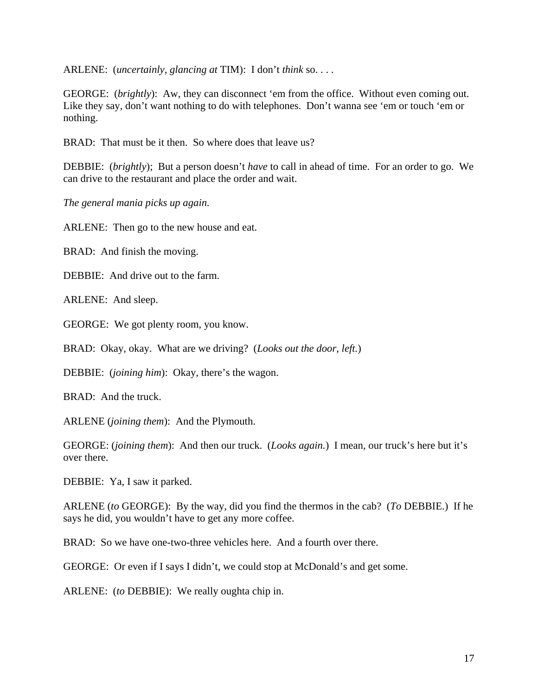ARLENE: (*uncertainly, glancing at* TIM): I don't *think* so. . . .

GEORGE: (*brightly*): Aw, they can disconnect 'em from the office. Without even coming out. Like they say, don't want nothing to do with telephones. Don't wanna see 'em or touch 'em or nothing.

BRAD: That must be it then. So where does that leave us?

DEBBIE: (*brightly*); But a person doesn't *have* to call in ahead of time. For an order to go. We can drive to the restaurant and place the order and wait.

*The general mania picks up again.*

ARLENE: Then go to the new house and eat.

BRAD: And finish the moving.

DEBBIE: And drive out to the farm.

ARLENE: And sleep.

GEORGE: We got plenty room, you know.

BRAD: Okay, okay. What are we driving? (*Looks out the door, left.*)

DEBBIE: (*joining him*): Okay, there's the wagon.

BRAD: And the truck.

ARLENE (*joining them*): And the Plymouth.

GEORGE: (*joining them*): And then our truck. (*Looks again.*) I mean, our truck's here but it's over there.

DEBBIE: Ya, I saw it parked.

ARLENE (*to* GEORGE): By the way, did you find the thermos in the cab? (*To* DEBBIE.) If he says he did, you wouldn't have to get any more coffee.

BRAD: So we have one-two-three vehicles here. And a fourth over there.

GEORGE: Or even if I says I didn't, we could stop at McDonald's and get some.

ARLENE: (*to* DEBBIE): We really oughta chip in.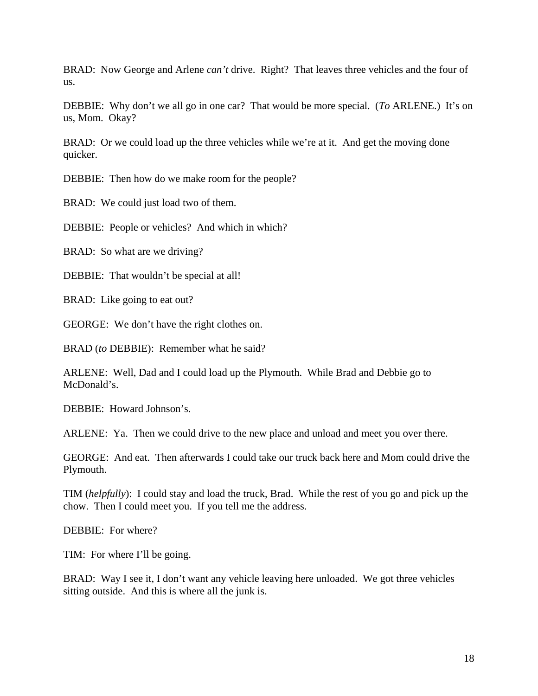BRAD: Now George and Arlene *can't* drive. Right? That leaves three vehicles and the four of us.

DEBBIE: Why don't we all go in one car? That would be more special. (*To* ARLENE.) It's on us, Mom. Okay?

BRAD: Or we could load up the three vehicles while we're at it. And get the moving done quicker.

DEBBIE: Then how do we make room for the people?

BRAD: We could just load two of them.

DEBBIE: People or vehicles? And which in which?

BRAD: So what are we driving?

DEBBIE: That wouldn't be special at all!

BRAD: Like going to eat out?

GEORGE: We don't have the right clothes on.

BRAD (*to* DEBBIE): Remember what he said?

ARLENE: Well, Dad and I could load up the Plymouth. While Brad and Debbie go to McDonald's.

DEBBIE: Howard Johnson's.

ARLENE: Ya. Then we could drive to the new place and unload and meet you over there.

GEORGE: And eat. Then afterwards I could take our truck back here and Mom could drive the Plymouth.

TIM (*helpfully*): I could stay and load the truck, Brad. While the rest of you go and pick up the chow. Then I could meet you. If you tell me the address.

DEBBIE: For where?

TIM: For where I'll be going.

BRAD: Way I see it, I don't want any vehicle leaving here unloaded. We got three vehicles sitting outside. And this is where all the junk is.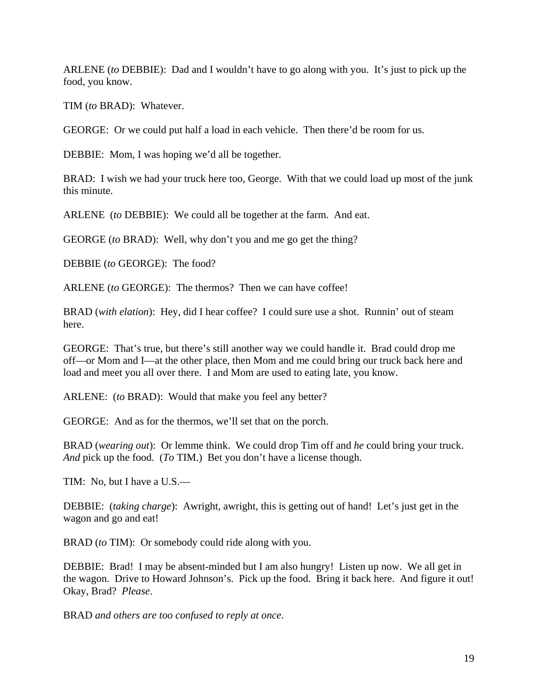ARLENE (*to* DEBBIE): Dad and I wouldn't have to go along with you. It's just to pick up the food, you know.

TIM (*to* BRAD): Whatever.

GEORGE: Or we could put half a load in each vehicle. Then there'd be room for us.

DEBBIE: Mom, I was hoping we'd all be together.

BRAD: I wish we had your truck here too, George. With that we could load up most of the junk this minute.

ARLENE (*to* DEBBIE): We could all be together at the farm. And eat.

GEORGE (*to* BRAD): Well, why don't you and me go get the thing?

DEBBIE (*to* GEORGE): The food?

ARLENE (*to* GEORGE): The thermos? Then we can have coffee!

BRAD (*with elation*): Hey, did I hear coffee? I could sure use a shot. Runnin' out of steam here.

GEORGE: That's true, but there's still another way we could handle it. Brad could drop me off—or Mom and I—at the other place, then Mom and me could bring our truck back here and load and meet you all over there. I and Mom are used to eating late, you know.

ARLENE: (*to* BRAD): Would that make you feel any better?

GEORGE: And as for the thermos, we'll set that on the porch.

BRAD (*wearing out*): Or lemme think. We could drop Tim off and *he* could bring your truck. *And* pick up the food. (*To* TIM.) Bet you don't have a license though.

TIM: No, but I have a U.S.—

DEBBIE: (*taking charge*): Awright, awright, this is getting out of hand! Let's just get in the wagon and go and eat!

BRAD (*to* TIM): Or somebody could ride along with you.

DEBBIE: Brad! I may be absent-minded but I am also hungry! Listen up now. We all get in the wagon. Drive to Howard Johnson's. Pick up the food. Bring it back here. And figure it out! Okay, Brad? *Please*.

BRAD *and others are too confused to reply at once*.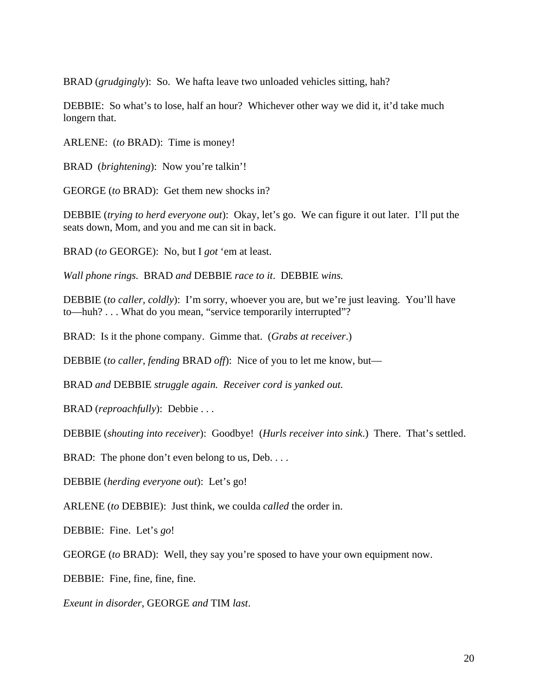BRAD (*grudgingly*): So. We hafta leave two unloaded vehicles sitting, hah?

DEBBIE: So what's to lose, half an hour? Whichever other way we did it, it'd take much longern that.

ARLENE: (*to* BRAD): Time is money!

BRAD (*brightening*): Now you're talkin'!

GEORGE (*to* BRAD): Get them new shocks in?

DEBBIE (*trying to herd everyone out*): Okay, let's go. We can figure it out later. I'll put the seats down, Mom, and you and me can sit in back.

BRAD (*to* GEORGE): No, but I *got* 'em at least.

*Wall phone rings.* BRAD *and* DEBBIE *race to it*. DEBBIE *wins.*

DEBBIE (*to caller, coldly*): I'm sorry, whoever you are, but we're just leaving. You'll have to—huh? . . . What do you mean, "service temporarily interrupted"?

BRAD: Is it the phone company. Gimme that. (*Grabs at receiver*.)

DEBBIE (*to caller, fending* BRAD *off*): Nice of you to let me know, but—

BRAD *and* DEBBIE *struggle again. Receiver cord is yanked out.*

BRAD (*reproachfully*): Debbie . . .

DEBBIE (*shouting into receiver*): Goodbye! (*Hurls receiver into sink*.) There. That's settled.

BRAD: The phone don't even belong to us, Deb....

DEBBIE (*herding everyone out*): Let's go!

ARLENE (*to* DEBBIE): Just think, we coulda *called* the order in.

DEBBIE: Fine. Let's *go*!

GEORGE (*to* BRAD): Well, they say you're sposed to have your own equipment now.

DEBBIE: Fine, fine, fine, fine.

*Exeunt in disorder*, GEORGE *and* TIM *last*.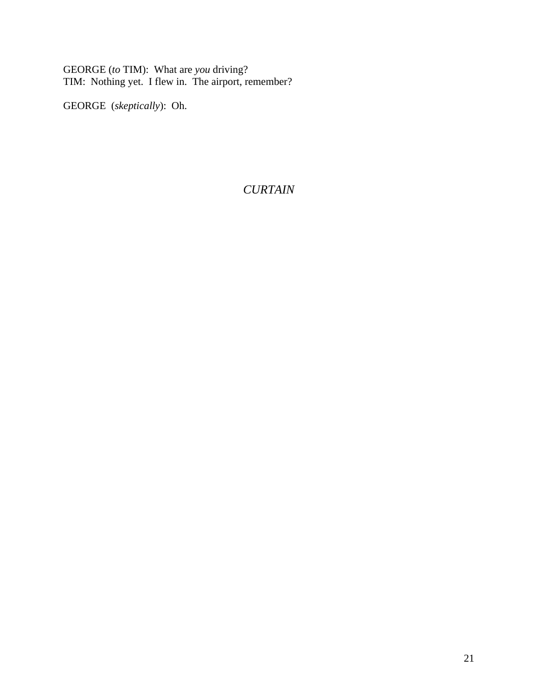GEORGE (*to* TIM): What are *you* driving? TIM: Nothing yet. I flew in. The airport, remember?

GEORGE (*skeptically*): Oh.

## *CURTAIN*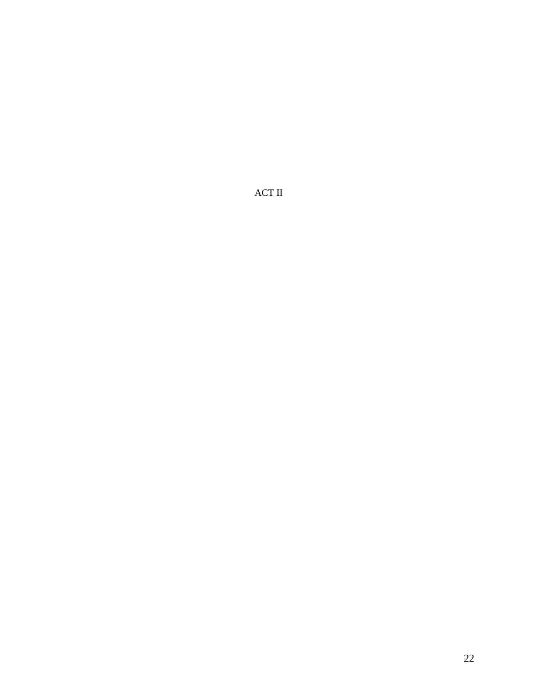ACT II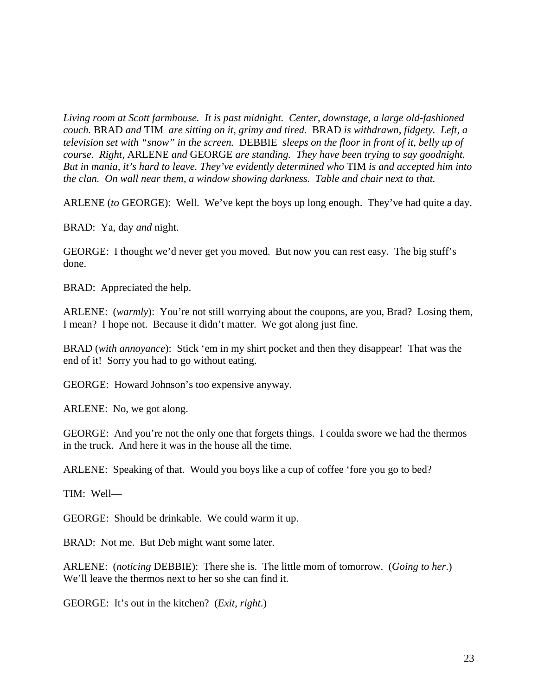*Living room at Scott farmhouse. It is past midnight. Center, downstage, a large old-fashioned couch.* BRAD *and* TIM *are sitting on it, grimy and tired.* BRAD *is withdrawn, fidgety. Left, a television set with "snow" in the screen.* DEBBIE *sleeps on the floor in front of it, belly up of course. Right,* ARLENE *and* GEORGE *are standing. They have been trying to say goodnight. But in mania, it's hard to leave. They've evidently determined who* TIM *is and accepted him into the clan. On wall near them, a window showing darkness. Table and chair next to that.* 

ARLENE (*to* GEORGE): Well. We've kept the boys up long enough. They've had quite a day.

BRAD: Ya, day *and* night.

GEORGE: I thought we'd never get you moved. But now you can rest easy. The big stuff's done.

BRAD: Appreciated the help.

ARLENE: (*warmly*): You're not still worrying about the coupons, are you, Brad? Losing them, I mean? I hope not. Because it didn't matter. We got along just fine.

BRAD (*with annoyance*): Stick 'em in my shirt pocket and then they disappear! That was the end of it! Sorry you had to go without eating.

GEORGE: Howard Johnson's too expensive anyway.

ARLENE: No, we got along.

GEORGE: And you're not the only one that forgets things. I coulda swore we had the thermos in the truck. And here it was in the house all the time.

ARLENE: Speaking of that. Would you boys like a cup of coffee 'fore you go to bed?

TIM: Well—

GEORGE: Should be drinkable. We could warm it up.

BRAD: Not me. But Deb might want some later.

ARLENE: (*noticing* DEBBIE): There she is. The little mom of tomorrow. (*Going to her*.) We'll leave the thermos next to her so she can find it.

GEORGE: It's out in the kitchen? (*Exit, right*.)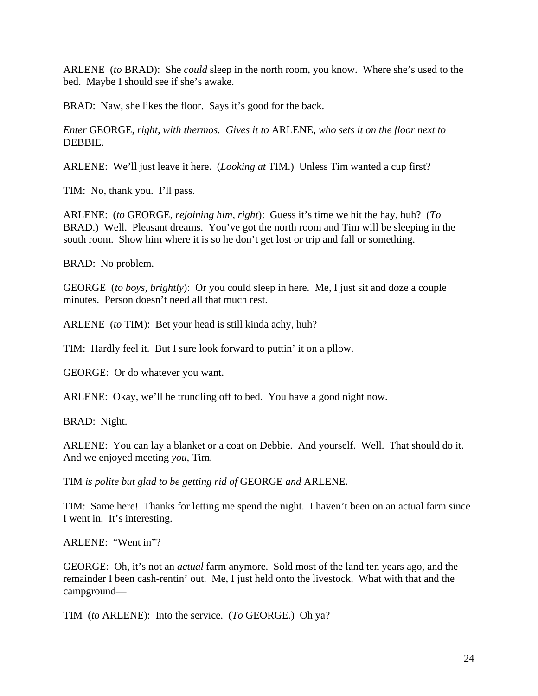ARLENE (*to* BRAD): She *could* sleep in the north room, you know. Where she's used to the bed. Maybe I should see if she's awake.

BRAD: Naw, she likes the floor. Says it's good for the back.

*Enter* GEORGE, *right, with thermos. Gives it to* ARLENE, *who sets it on the floor next to* DEBBIE.

ARLENE: We'll just leave it here. (*Looking at* TIM.) Unless Tim wanted a cup first?

TIM: No, thank you. I'll pass.

ARLENE: (*to* GEORGE, *rejoining him, right*): Guess it's time we hit the hay, huh? (*To* BRAD.) Well. Pleasant dreams. You've got the north room and Tim will be sleeping in the south room. Show him where it is so he don't get lost or trip and fall or something.

BRAD: No problem.

GEORGE (*to boys, brightly*): Or you could sleep in here. Me, I just sit and doze a couple minutes. Person doesn't need all that much rest.

ARLENE (*to* TIM): Bet your head is still kinda achy, huh?

TIM: Hardly feel it. But I sure look forward to puttin' it on a pllow.

GEORGE: Or do whatever you want.

ARLENE: Okay, we'll be trundling off to bed. You have a good night now.

BRAD: Night.

ARLENE: You can lay a blanket or a coat on Debbie. And yourself. Well. That should do it. And we enjoyed meeting *you*, Tim.

TIM *is polite but glad to be getting rid of* GEORGE *and* ARLENE.

TIM: Same here! Thanks for letting me spend the night. I haven't been on an actual farm since I went in. It's interesting.

ARLENE: "Went in"?

GEORGE: Oh, it's not an *actual* farm anymore. Sold most of the land ten years ago, and the remainder I been cash-rentin' out. Me, I just held onto the livestock. What with that and the campground—

TIM (*to* ARLENE): Into the service. (*To* GEORGE.) Oh ya?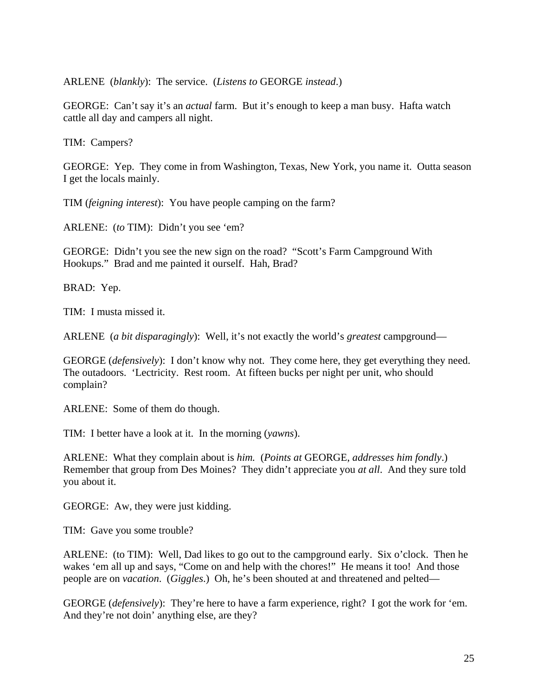ARLENE (*blankly*): The service. (*Listens to* GEORGE *instead*.)

GEORGE: Can't say it's an *actual* farm. But it's enough to keep a man busy. Hafta watch cattle all day and campers all night.

TIM: Campers?

GEORGE: Yep. They come in from Washington, Texas, New York, you name it. Outta season I get the locals mainly.

TIM (*feigning interest*): You have people camping on the farm?

ARLENE: (*to* TIM): Didn't you see 'em?

GEORGE: Didn't you see the new sign on the road? "Scott's Farm Campground With Hookups." Brad and me painted it ourself. Hah, Brad?

BRAD: Yep.

TIM: I musta missed it.

ARLENE (*a bit disparagingly*): Well, it's not exactly the world's *greatest* campground—

GEORGE (*defensively*): I don't know why not. They come here, they get everything they need. The outadoors. 'Lectricity. Rest room. At fifteen bucks per night per unit, who should complain?

ARLENE: Some of them do though.

TIM: I better have a look at it. In the morning (*yawns*).

ARLENE: What they complain about is *him.* (*Points at* GEORGE, *addresses him fondly*.) Remember that group from Des Moines? They didn't appreciate you *at all*. And they sure told you about it.

GEORGE: Aw, they were just kidding.

TIM: Gave you some trouble?

ARLENE: (to TIM): Well, Dad likes to go out to the campground early. Six o'clock. Then he wakes 'em all up and says, "Come on and help with the chores!" He means it too! And those people are on *vacation*. (*Giggles*.) Oh, he's been shouted at and threatened and pelted—

GEORGE (*defensively*): They're here to have a farm experience, right? I got the work for 'em. And they're not doin' anything else, are they?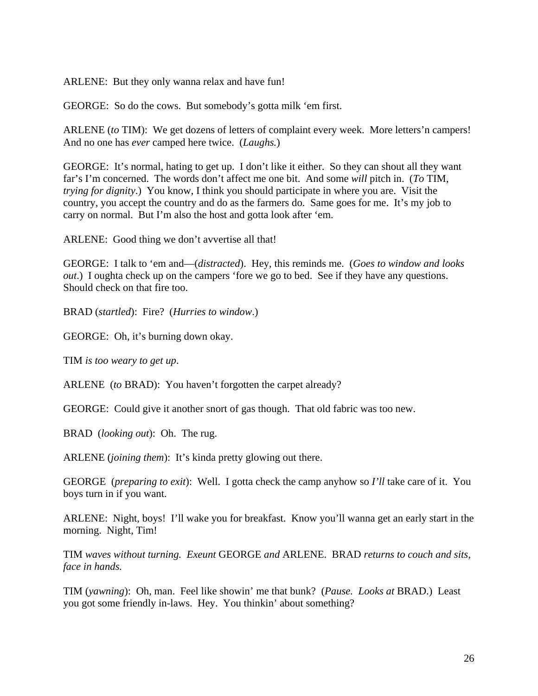ARLENE: But they only wanna relax and have fun!

GEORGE: So do the cows. But somebody's gotta milk 'em first.

ARLENE (*to* TIM): We get dozens of letters of complaint every week. More letters'n campers! And no one has *ever* camped here twice. (*Laughs.*)

GEORGE: It's normal, hating to get up. I don't like it either. So they can shout all they want far's I'm concerned. The words don't affect me one bit. And some *will* pitch in. (*To* TIM, *trying for dignity*.) You know, I think you should participate in where you are. Visit the country, you accept the country and do as the farmers do. Same goes for me. It's my job to carry on normal. But I'm also the host and gotta look after 'em.

ARLENE: Good thing we don't avvertise all that!

GEORGE: I talk to 'em and—(*distracted*). Hey, this reminds me. (*Goes to window and looks out*.) I oughta check up on the campers 'fore we go to bed. See if they have any questions. Should check on that fire too.

BRAD (*startled*): Fire? (*Hurries to window*.)

GEORGE: Oh, it's burning down okay.

TIM *is too weary to get up*.

ARLENE (*to* BRAD): You haven't forgotten the carpet already?

GEORGE: Could give it another snort of gas though. That old fabric was too new.

BRAD (*looking out*): Oh. The rug.

ARLENE (*joining them*): It's kinda pretty glowing out there.

GEORGE (*preparing to exit*): Well. I gotta check the camp anyhow so *I'll* take care of it. You boys turn in if you want.

ARLENE: Night, boys! I'll wake you for breakfast. Know you'll wanna get an early start in the morning. Night, Tim!

TIM *waves without turning. Exeunt* GEORGE *and* ARLENE. BRAD *returns to couch and sits, face in hands.*

TIM (*yawning*): Oh, man. Feel like showin' me that bunk? (*Pause. Looks at* BRAD.) Least you got some friendly in-laws. Hey. You thinkin' about something?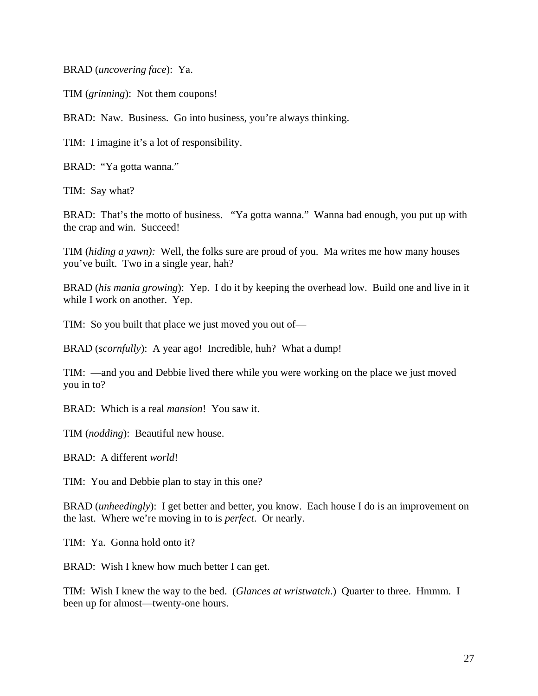BRAD (*uncovering face*): Ya.

TIM (*grinning*): Not them coupons!

BRAD: Naw. Business. Go into business, you're always thinking.

TIM: I imagine it's a lot of responsibility.

BRAD: "Ya gotta wanna."

TIM: Say what?

BRAD: That's the motto of business. "Ya gotta wanna." Wanna bad enough, you put up with the crap and win. Succeed!

TIM (*hiding a yawn):* Well, the folks sure are proud of you. Ma writes me how many houses you've built. Two in a single year, hah?

BRAD (*his mania growing*): Yep. I do it by keeping the overhead low. Build one and live in it while I work on another. Yep.

TIM: So you built that place we just moved you out of—

BRAD (*scornfully*): A year ago! Incredible, huh? What a dump!

TIM: —and you and Debbie lived there while you were working on the place we just moved you in to?

BRAD: Which is a real *mansion*! You saw it.

TIM (*nodding*): Beautiful new house.

BRAD: A different *world*!

TIM: You and Debbie plan to stay in this one?

BRAD (*unheedingly*): I get better and better, you know. Each house I do is an improvement on the last. Where we're moving in to is *perfect*. Or nearly.

TIM: Ya. Gonna hold onto it?

BRAD: Wish I knew how much better I can get.

TIM: Wish I knew the way to the bed. (*Glances at wristwatch*.) Quarter to three. Hmmm. I been up for almost—twenty-one hours.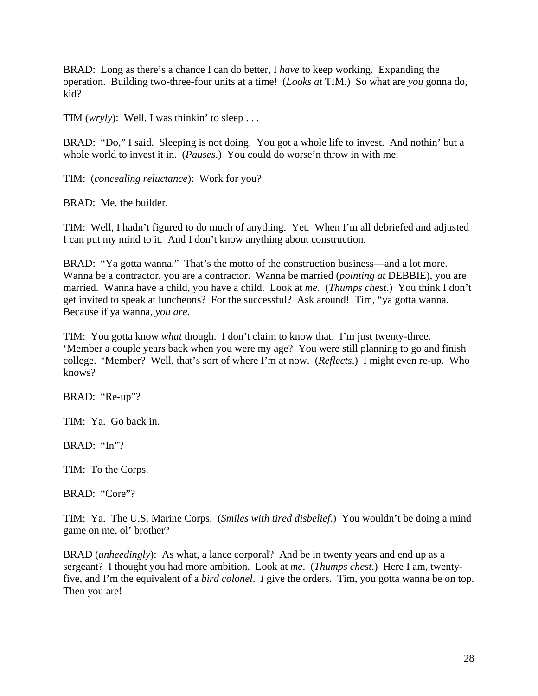BRAD: Long as there's a chance I can do better, I *have* to keep working. Expanding the operation. Building two-three-four units at a time! (*Looks at* TIM.) So what are *you* gonna do, kid?

TIM (*wryly*): Well, I was thinkin' to sleep . . .

BRAD: "Do," I said. Sleeping is not doing. You got a whole life to invest. And nothin' but a whole world to invest it in. (*Pauses*.) You could do worse'n throw in with me.

TIM: (*concealing reluctance*): Work for you?

BRAD: Me, the builder.

TIM: Well, I hadn't figured to do much of anything. Yet. When I'm all debriefed and adjusted I can put my mind to it. And I don't know anything about construction.

BRAD: "Ya gotta wanna." That's the motto of the construction business—and a lot more. Wanna be a contractor, you are a contractor. Wanna be married (*pointing at* DEBBIE), you are married. Wanna have a child, you have a child. Look at *me*. (*Thumps chest*.) You think I don't get invited to speak at luncheons? For the successful? Ask around! Tim, "ya gotta wanna. Because if ya wanna, *you are*.

TIM: You gotta know *what* though. I don't claim to know that. I'm just twenty-three. 'Member a couple years back when you were my age? You were still planning to go and finish college. 'Member? Well, that's sort of where I'm at now. (*Reflects*.) I might even re-up. Who knows?

BRAD: "Re-up"?

TIM: Ya. Go back in.

BRAD: "In"?

TIM: To the Corps.

BRAD: "Core"?

TIM: Ya. The U.S. Marine Corps. (*Smiles with tired disbelief*.) You wouldn't be doing a mind game on me, ol' brother?

BRAD (*unheedingly*): As what, a lance corporal? And be in twenty years and end up as a sergeant? I thought you had more ambition. Look at *me*. (*Thumps chest*.) Here I am, twentyfive, and I'm the equivalent of a *bird colonel*. *I* give the orders. Tim, you gotta wanna be on top. Then you are!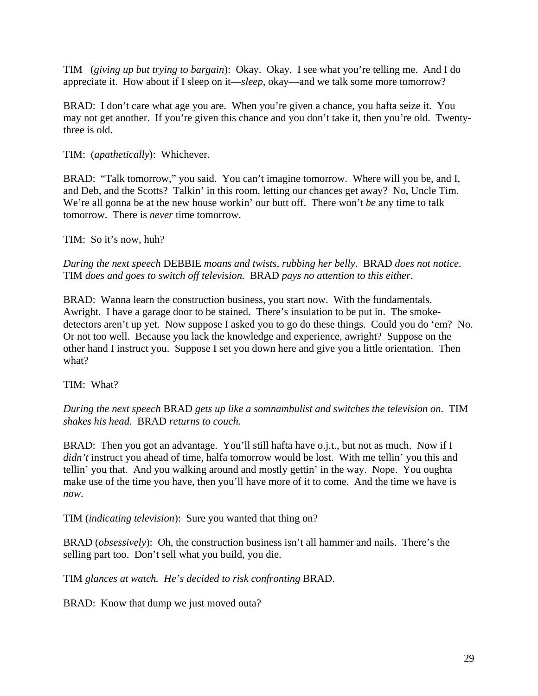TIM (*giving up but trying to bargain*): Okay. Okay. I see what you're telling me. And I do appreciate it. How about if I sleep on it—*sleep*, okay—and we talk some more tomorrow?

BRAD: I don't care what age you are. When you're given a chance, you hafta seize it. You may not get another. If you're given this chance and you don't take it, then you're old. Twentythree is old.

TIM: (*apathetically*): Whichever.

BRAD: "Talk tomorrow," you said. You can't imagine tomorrow. Where will you be, and I, and Deb, and the Scotts? Talkin' in this room, letting our chances get away? No, Uncle Tim. We're all gonna be at the new house workin' our butt off. There won't *be* any time to talk tomorrow. There is *never* time tomorrow.

TIM: So it's now, huh?

*During the next speech* DEBBIE *moans and twists, rubbing her belly*. BRAD *does not notice.*  TIM *does and goes to switch off television.* BRAD *pays no attention to this either*.

BRAD: Wanna learn the construction business, you start now. With the fundamentals. Awright. I have a garage door to be stained. There's insulation to be put in. The smokedetectors aren't up yet. Now suppose I asked you to go do these things. Could you do 'em? No. Or not too well. Because you lack the knowledge and experience, awright? Suppose on the other hand I instruct you. Suppose I set you down here and give you a little orientation. Then what?

TIM: What?

*During the next speech* BRAD *gets up like a somnambulist and switches the television on*. TIM *shakes his head*. BRAD *returns to couch*.

BRAD: Then you got an advantage. You'll still hafta have o.j.t., but not as much. Now if I *didn't* instruct you ahead of time, halfa tomorrow would be lost. With me tellin' you this and tellin' you that. And you walking around and mostly gettin' in the way. Nope. You oughta make use of the time you have, then you'll have more of it to come. And the time we have is *now*.

TIM (*indicating television*): Sure you wanted that thing on?

BRAD (*obsessively*): Oh, the construction business isn't all hammer and nails. There's the selling part too. Don't sell what you build, you die.

TIM *glances at watch. He's decided to risk confronting* BRAD.

BRAD: Know that dump we just moved outa?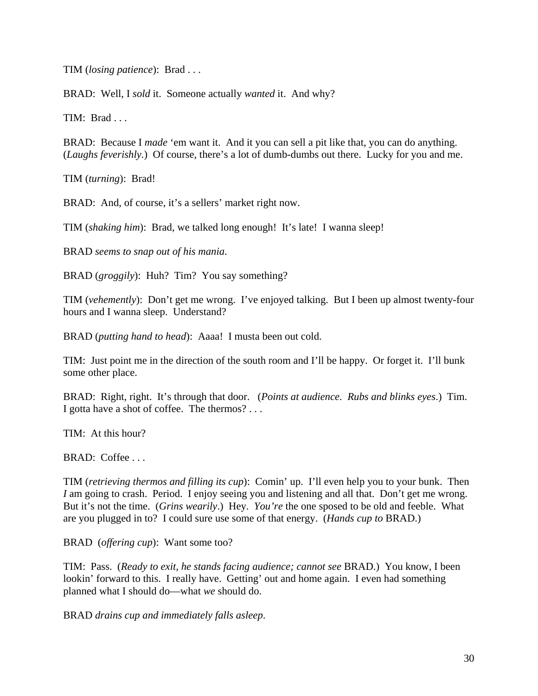TIM (*losing patience*): Brad . . .

BRAD: Well, I *sold* it. Someone actually *wanted* it. And why?

TIM: Brad

BRAD: Because I *made* 'em want it. And it you can sell a pit like that, you can do anything. (*Laughs feverishly.*) Of course, there's a lot of dumb-dumbs out there. Lucky for you and me.

TIM (*turning*): Brad!

BRAD: And, of course, it's a sellers' market right now.

TIM (*shaking him*): Brad, we talked long enough! It's late! I wanna sleep!

BRAD *seems to snap out of his mania*.

BRAD (*groggily*): Huh? Tim? You say something?

TIM (*vehemently*): Don't get me wrong. I've enjoyed talking. But I been up almost twenty-four hours and I wanna sleep. Understand?

BRAD (*putting hand to head*): Aaaa! I musta been out cold.

TIM: Just point me in the direction of the south room and I'll be happy. Or forget it. I'll bunk some other place.

BRAD: Right, right. It's through that door. (*Points at audience. Rubs and blinks eyes*.) Tim. I gotta have a shot of coffee. The thermos? . . .

TIM: At this hour?

BRAD: Coffee . . .

TIM (*retrieving thermos and filling its cup*): Comin' up. I'll even help you to your bunk. Then *I* am going to crash. Period. I enjoy seeing you and listening and all that. Don't get me wrong. But it's not the time. (*Grins wearily*.) Hey. *You're* the one sposed to be old and feeble. What are you plugged in to? I could sure use some of that energy. (*Hands cup to* BRAD.)

BRAD (*offering cup*): Want some too?

TIM: Pass. (*Ready to exit, he stands facing audience; cannot see* BRAD.) You know, I been lookin' forward to this. I really have. Getting' out and home again. I even had something planned what I should do—what *we* should do.

BRAD *drains cup and immediately falls asleep*.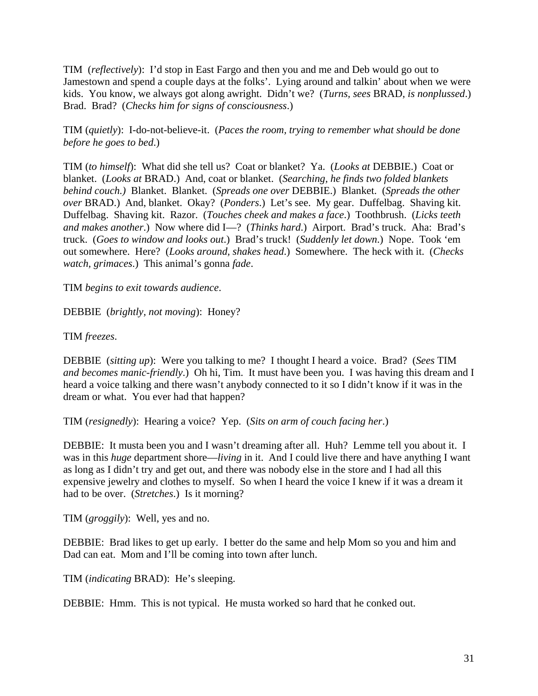TIM (*reflectively*): I'd stop in East Fargo and then you and me and Deb would go out to Jamestown and spend a couple days at the folks'. Lying around and talkin' about when we were kids. You know, we always got along awright. Didn't we? (*Turns, sees* BRAD, *is nonplussed*.) Brad. Brad? (*Checks him for signs of consciousness*.)

TIM (*quietly*): I-do-not-believe-it. (*Paces the room, trying to remember what should be done before he goes to bed*.)

TIM (*to himself*): What did she tell us? Coat or blanket? Ya. (*Looks at* DEBBIE.) Coat or blanket. (*Looks at* BRAD.) And, coat or blanket. (*Searching, he finds two folded blankets behind couch.)* Blanket. Blanket. (*Spreads one over* DEBBIE.) Blanket. (*Spreads the other over* BRAD.) And, blanket. Okay? (*Ponders*.) Let's see. My gear. Duffelbag. Shaving kit. Duffelbag. Shaving kit. Razor. (*Touches cheek and makes a face*.) Toothbrush. (*Licks teeth and makes another*.) Now where did I—? (*Thinks hard*.) Airport. Brad's truck. Aha: Brad's truck. (*Goes to window and looks out*.) Brad's truck! (*Suddenly let down*.) Nope. Took 'em out somewhere. Here? (*Looks around, shakes head*.) Somewhere. The heck with it. (*Checks watch, grimaces*.) This animal's gonna *fade*.

TIM *begins to exit towards audience*.

DEBBIE (*brightly, not moving*): Honey?

TIM *freezes*.

DEBBIE (*sitting up*): Were you talking to me? I thought I heard a voice. Brad? (*Sees* TIM *and becomes manic-friendly*.) Oh hi, Tim. It must have been you. I was having this dream and I heard a voice talking and there wasn't anybody connected to it so I didn't know if it was in the dream or what. You ever had that happen?

TIM (*resignedly*): Hearing a voice? Yep. (*Sits on arm of couch facing her*.)

DEBBIE: It musta been you and I wasn't dreaming after all. Huh? Lemme tell you about it. I was in this *huge* department shore—*living* in it. And I could live there and have anything I want as long as I didn't try and get out, and there was nobody else in the store and I had all this expensive jewelry and clothes to myself. So when I heard the voice I knew if it was a dream it had to be over. (*Stretches*.) Is it morning?

TIM (*groggily*): Well, yes and no.

DEBBIE: Brad likes to get up early. I better do the same and help Mom so you and him and Dad can eat. Mom and I'll be coming into town after lunch.

TIM (*indicating* BRAD): He's sleeping.

DEBBIE: Hmm. This is not typical. He musta worked so hard that he conked out.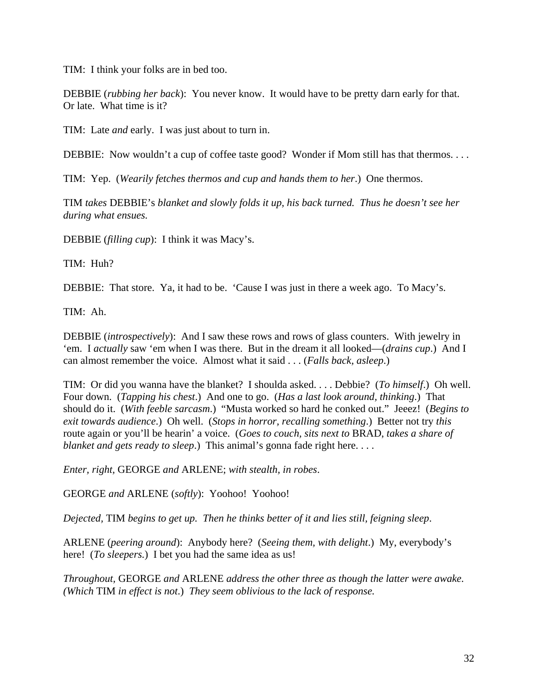TIM: I think your folks are in bed too.

DEBBIE (*rubbing her back*): You never know. It would have to be pretty darn early for that. Or late. What time is it?

TIM: Late *and* early. I was just about to turn in.

DEBBIE: Now wouldn't a cup of coffee taste good? Wonder if Mom still has that thermos. . . .

TIM: Yep. (*Wearily fetches thermos and cup and hands them to her*.) One thermos.

TIM *takes* DEBBIE's *blanket and slowly folds it up, his back turned. Thus he doesn't see her during what ensues.*

DEBBIE (*filling cup*): I think it was Macy's.

TIM: Huh?

DEBBIE: That store. Ya, it had to be. 'Cause I was just in there a week ago. To Macy's.

TIM: Ah.

DEBBIE (*introspectively*): And I saw these rows and rows of glass counters. With jewelry in 'em. I *actually* saw 'em when I was there. But in the dream it all looked—(*drains cup*.) And I can almost remember the voice. Almost what it said . . . (*Falls back, asleep*.)

TIM: Or did you wanna have the blanket? I shoulda asked. . . . Debbie? (*To himself*.) Oh well. Four down. (*Tapping his chest*.) And one to go. (*Has a last look around, thinking*.) That should do it. (*With feeble sarcasm*.) "Musta worked so hard he conked out." Jeeez! (*Begins to exit towards audience*.) Oh well. (*Stops in horror, recalling something*.) Better not try *this* route again or you'll be hearin' a voice. (*Goes to couch, sits next to* BRAD, *takes a share of blanket and gets ready to sleep.*) This animal's gonna fade right here....

*Enter, right,* GEORGE *and* ARLENE; *with stealth, in robes*.

GEORGE *and* ARLENE (*softly*): Yoohoo! Yoohoo!

*Dejected,* TIM *begins to get up. Then he thinks better of it and lies still, feigning sleep*.

ARLENE (*peering around*): Anybody here? (*Seeing them, with delight*.) My, everybody's here! (*To sleepers.*) I bet you had the same idea as us!

*Throughout,* GEORGE *and* ARLENE *address the other three as though the latter were awake. (Which* TIM *in effect is not*.) *They seem oblivious to the lack of response.*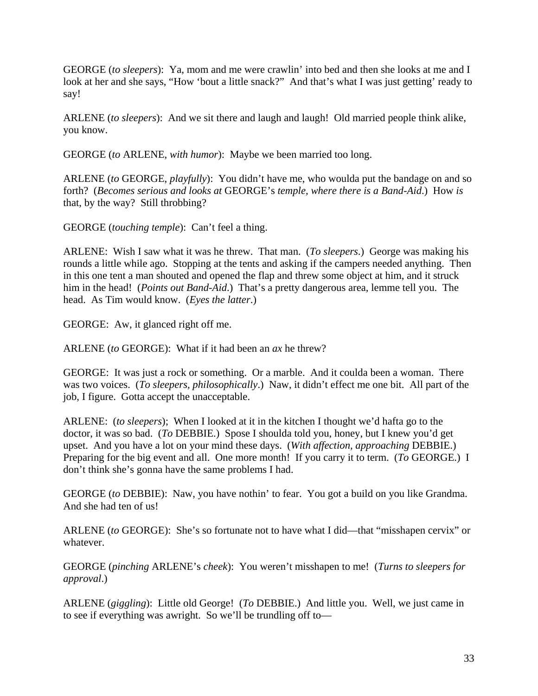GEORGE (*to sleepers*): Ya, mom and me were crawlin' into bed and then she looks at me and I look at her and she says, "How 'bout a little snack?" And that's what I was just getting' ready to say!

ARLENE (*to sleepers*): And we sit there and laugh and laugh! Old married people think alike, you know.

GEORGE (*to* ARLENE, *with humor*): Maybe we been married too long.

ARLENE (*to* GEORGE, *playfully*): You didn't have me, who woulda put the bandage on and so forth? (*Becomes serious and looks at* GEORGE's *temple, where there is a Band-Aid*.) How *is* that, by the way? Still throbbing?

GEORGE (*touching temple*): Can't feel a thing.

ARLENE: Wish I saw what it was he threw. That man. (*To sleepers*.) George was making his rounds a little while ago. Stopping at the tents and asking if the campers needed anything. Then in this one tent a man shouted and opened the flap and threw some object at him, and it struck him in the head! (*Points out Band-Aid*.) That's a pretty dangerous area, lemme tell you. The head. As Tim would know. (*Eyes the latter*.)

GEORGE: Aw, it glanced right off me.

ARLENE (*to* GEORGE): What if it had been an *ax* he threw?

GEORGE: It was just a rock or something. Or a marble. And it coulda been a woman. There was two voices. (*To sleepers, philosophically*.) Naw, it didn't effect me one bit. All part of the job, I figure. Gotta accept the unacceptable.

ARLENE: (*to sleepers*); When I looked at it in the kitchen I thought we'd hafta go to the doctor, it was so bad. (*To* DEBBIE.) Spose I shoulda told you, honey, but I knew you'd get upset. And you have a lot on your mind these days. (*With affection, approaching* DEBBIE.) Preparing for the big event and all. One more month! If you carry it to term. (*To* GEORGE.) I don't think she's gonna have the same problems I had.

GEORGE (*to* DEBBIE): Naw, you have nothin' to fear. You got a build on you like Grandma. And she had ten of us!

ARLENE (*to* GEORGE): She's so fortunate not to have what I did—that "misshapen cervix" or whatever.

GEORGE (*pinching* ARLENE's *cheek*): You weren't misshapen to me! (*Turns to sleepers for approval*.)

ARLENE (*giggling*): Little old George! (*To* DEBBIE.) And little you. Well, we just came in to see if everything was awright. So we'll be trundling off to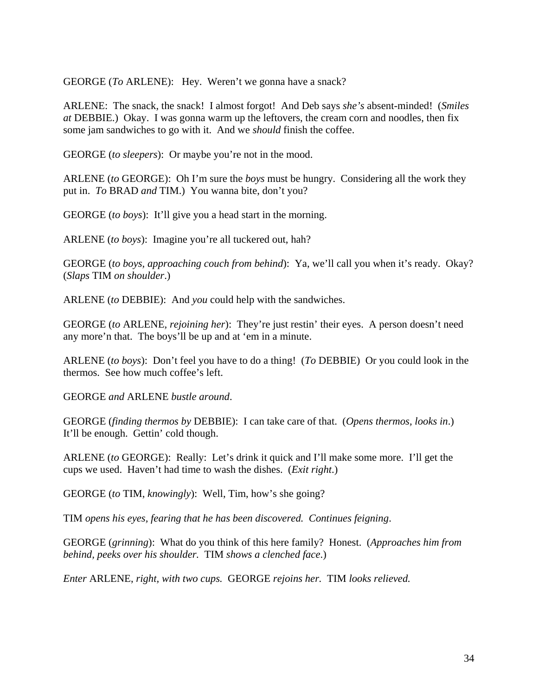GEORGE (*To* ARLENE): Hey. Weren't we gonna have a snack?

ARLENE: The snack, the snack! I almost forgot! And Deb says *she's* absent-minded! (*Smiles at* DEBBIE.) Okay. I was gonna warm up the leftovers, the cream corn and noodles, then fix some jam sandwiches to go with it. And we *should* finish the coffee.

GEORGE (*to sleepers*): Or maybe you're not in the mood.

ARLENE (*to* GEORGE): Oh I'm sure the *boys* must be hungry. Considering all the work they put in. *To* BRAD *and* TIM.) You wanna bite, don't you?

GEORGE (*to boys*): It'll give you a head start in the morning.

ARLENE (*to boys*): Imagine you're all tuckered out, hah?

GEORGE (*to boys, approaching couch from behind*): Ya, we'll call you when it's ready. Okay? (*Slaps* TIM *on shoulder*.)

ARLENE (*to* DEBBIE): And *you* could help with the sandwiches.

GEORGE (*to* ARLENE*, rejoining her*): They're just restin' their eyes. A person doesn't need any more'n that. The boys'll be up and at 'em in a minute.

ARLENE (*to boys*): Don't feel you have to do a thing! (*To* DEBBIE) Or you could look in the thermos. See how much coffee's left.

GEORGE *and* ARLENE *bustle around*.

GEORGE (*finding thermos by* DEBBIE): I can take care of that. (*Opens thermos, looks in*.) It'll be enough. Gettin' cold though.

ARLENE (*to* GEORGE): Really: Let's drink it quick and I'll make some more. I'll get the cups we used. Haven't had time to wash the dishes. (*Exit right*.)

GEORGE (*to* TIM, *knowingly*): Well, Tim, how's she going?

TIM *opens his eyes, fearing that he has been discovered. Continues feigning*.

GEORGE (*grinning*): What do you think of this here family? Honest. (*Approaches him from behind, peeks over his shoulder.* TIM *shows a clenched face*.)

*Enter* ARLENE, *right, with two cups.* GEORGE *rejoins her.* TIM *looks relieved.*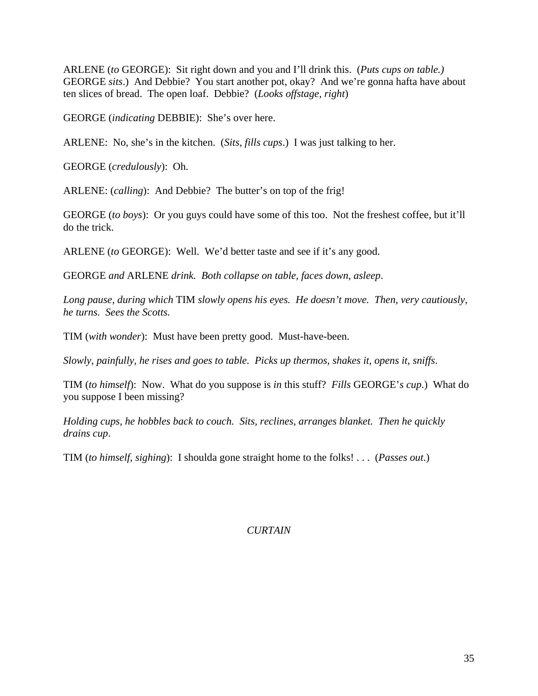ARLENE (*to* GEORGE): Sit right down and you and I'll drink this. (*Puts cups on table.)*  GEORGE *sits*.) And Debbie? You start another pot, okay? And we're gonna hafta have about ten slices of bread. The open loaf. Debbie? (*Looks offstage, right*)

GEORGE (*indicating* DEBBIE): She's over here.

ARLENE: No, she's in the kitchen. (*Sits, fills cups*.) I was just talking to her.

GEORGE (*credulously*): Oh.

ARLENE: (*calling*): And Debbie? The butter's on top of the frig!

GEORGE (*to boys*): Or you guys could have some of this too. Not the freshest coffee, but it'll do the trick.

ARLENE (*to* GEORGE): Well. We'd better taste and see if it's any good.

GEORGE *and* ARLENE *drink. Both collapse on table, faces down, asleep*.

*Long pause, during which* TIM *slowly opens his eyes. He doesn't move. Then, very cautiously, he turns. Sees the Scotts.*

TIM (*with wonder*): Must have been pretty good. Must-have-been.

*Slowly, painfully, he rises and goes to table. Picks up thermos, shakes it, opens it, sniffs*.

TIM (*to himself*): Now. What do you suppose is *in* this stuff? *Fills* GEORGE'*s cup*.) What do you suppose I been missing?

*Holding cups, he hobbles back to couch. Sits, reclines, arranges blanket. Then he quickly drains cup*.

TIM (*to himself, sighing*): I shoulda gone straight home to the folks! . . . (*Passes out*.)

### *CURTAIN*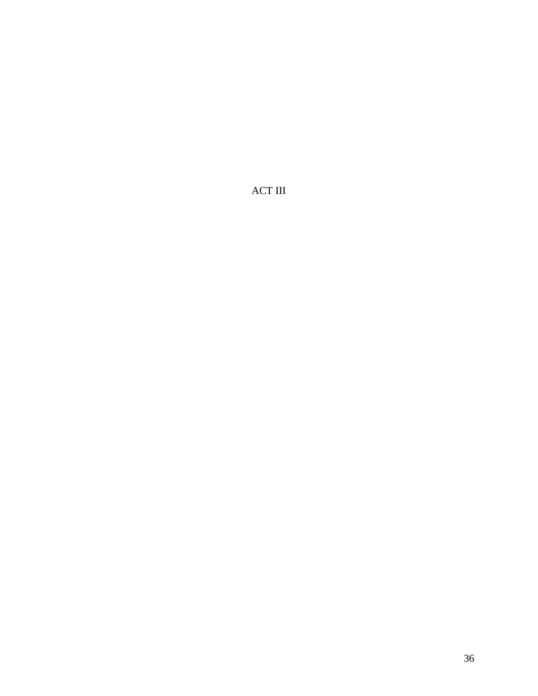ACT III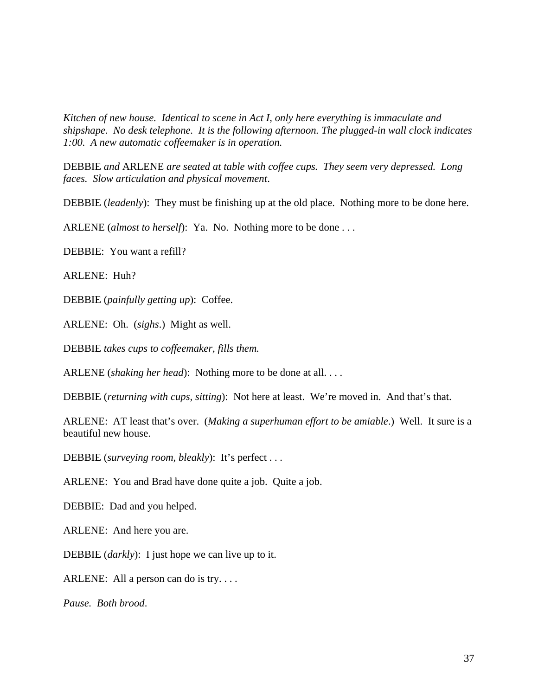*Kitchen of new house. Identical to scene in Act I, only here everything is immaculate and shipshape. No desk telephone. It is the following afternoon. The plugged-in wall clock indicates 1:00. A new automatic coffeemaker is in operation.* 

DEBBIE *and* ARLENE *are seated at table with coffee cups. They seem very depressed. Long faces. Slow articulation and physical movement*.

DEBBIE (*leadenly*): They must be finishing up at the old place. Nothing more to be done here.

ARLENE (*almost to herself*): Ya. No. Nothing more to be done . . .

DEBBIE: You want a refill?

ARLENE: Huh?

DEBBIE (*painfully getting up*): Coffee.

ARLENE: Oh. (*sighs*.) Might as well.

DEBBIE *takes cups to coffeemaker, fills them.* 

ARLENE (*shaking her head*): Nothing more to be done at all. . . .

DEBBIE (*returning with cups, sitting*): Not here at least. We're moved in. And that's that.

ARLENE: AT least that's over. (*Making a superhuman effort to be amiable*.) Well. It sure is a beautiful new house.

DEBBIE (*surveying room, bleakly*): It's perfect . . .

ARLENE: You and Brad have done quite a job. Quite a job.

DEBBIE: Dad and you helped.

ARLENE: And here you are.

DEBBIE (*darkly*): I just hope we can live up to it.

ARLENE: All a person can do is try....

*Pause. Both brood*.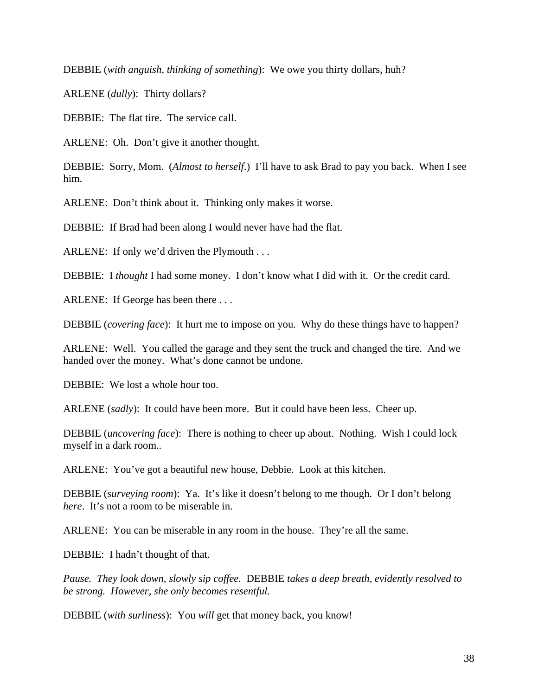DEBBIE (*with anguish, thinking of something*): We owe you thirty dollars, huh?

ARLENE (*dully*): Thirty dollars?

DEBBIE: The flat tire. The service call.

ARLENE: Oh. Don't give it another thought.

DEBBIE: Sorry, Mom. (*Almost to herself*.) I'll have to ask Brad to pay you back. When I see him.

ARLENE: Don't think about it. Thinking only makes it worse.

DEBBIE: If Brad had been along I would never have had the flat.

ARLENE: If only we'd driven the Plymouth . . .

DEBBIE: I *thought* I had some money. I don't know what I did with it. Or the credit card.

ARLENE: If George has been there . . .

DEBBIE (*covering face*): It hurt me to impose on you. Why do these things have to happen?

ARLENE: Well. You called the garage and they sent the truck and changed the tire. And we handed over the money. What's done cannot be undone.

DEBBIE: We lost a whole hour too.

ARLENE (*sadly*): It could have been more. But it could have been less. Cheer up.

DEBBIE (*uncovering face*): There is nothing to cheer up about. Nothing. Wish I could lock myself in a dark room..

ARLENE: You've got a beautiful new house, Debbie. Look at this kitchen.

DEBBIE (*surveying room*): Ya. It's like it doesn't belong to me though. Or I don't belong *here.* It's not a room to be miserable in.

ARLENE: You can be miserable in any room in the house. They're all the same.

DEBBIE: I hadn't thought of that.

*Pause. They look down, slowly sip coffee.* DEBBIE *takes a deep breath, evidently resolved to be strong. However, she only becomes resentful.*

DEBBIE (*with surliness*): You *will* get that money back, you know!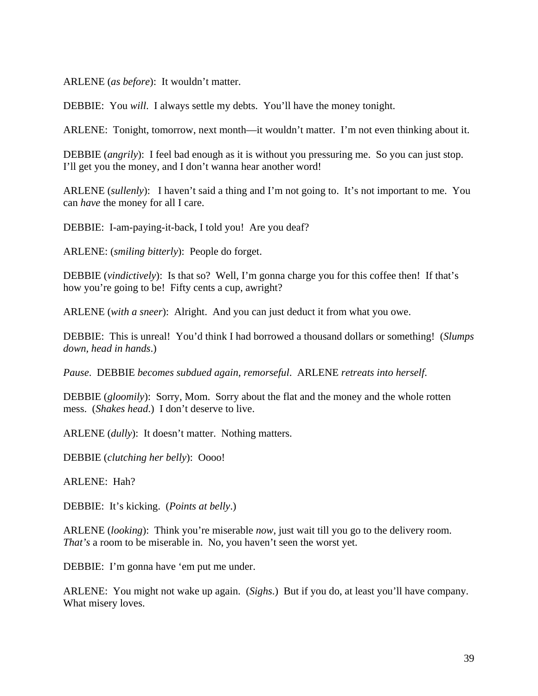ARLENE (*as before*): It wouldn't matter.

DEBBIE: You *will*. I always settle my debts. You'll have the money tonight.

ARLENE: Tonight, tomorrow, next month—it wouldn't matter. I'm not even thinking about it.

DEBBIE (*angrily*): I feel bad enough as it is without you pressuring me. So you can just stop. I'll get you the money, and I don't wanna hear another word!

ARLENE (*sullenly*): I haven't said a thing and I'm not going to. It's not important to me. You can *have* the money for all I care.

DEBBIE: I-am-paying-it-back, I told you! Are you deaf?

ARLENE: (*smiling bitterly*): People do forget.

DEBBIE (*vindictively*): Is that so? Well, I'm gonna charge you for this coffee then! If that's how you're going to be! Fifty cents a cup, awright?

ARLENE (*with a sneer*): Alright. And you can just deduct it from what you owe.

DEBBIE: This is unreal! You'd think I had borrowed a thousand dollars or something! (*Slumps down, head in hands*.)

*Pause*. DEBBIE *becomes subdued again, remorseful*. ARLENE *retreats into herself*.

DEBBIE (*gloomily*): Sorry, Mom. Sorry about the flat and the money and the whole rotten mess. (*Shakes head*.) I don't deserve to live.

ARLENE (*dully*): It doesn't matter. Nothing matters.

DEBBIE (*clutching her belly*): Oooo!

ARLENE: Hah?

DEBBIE: It's kicking. (*Points at belly*.)

ARLENE (*looking*): Think you're miserable *now*, just wait till you go to the delivery room. *That's* a room to be miserable in. No, you haven't seen the worst yet.

DEBBIE: I'm gonna have 'em put me under.

ARLENE: You might not wake up again. (*Sighs*.) But if you do, at least you'll have company. What misery loves.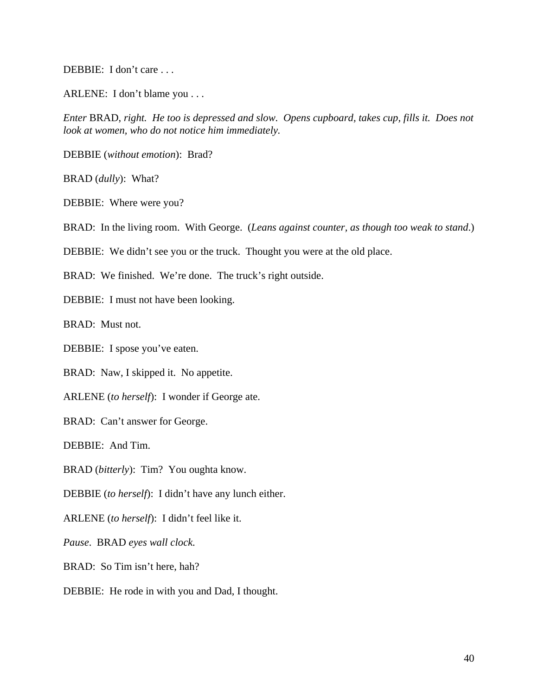DEBBIE: I don't care ...

ARLENE: I don't blame you . . .

*Enter* BRAD, *right. He too is depressed and slow. Opens cupboard, takes cup, fills it. Does not look at women, who do not notice him immediately.* 

DEBBIE (*without emotion*): Brad?

BRAD (*dully*): What?

DEBBIE: Where were you?

BRAD: In the living room. With George. (*Leans against counter, as though too weak to stand*.)

DEBBIE: We didn't see you or the truck. Thought you were at the old place.

BRAD: We finished. We're done. The truck's right outside.

DEBBIE: I must not have been looking.

BRAD: Must not.

DEBBIE: I spose you've eaten.

BRAD: Naw, I skipped it. No appetite.

ARLENE (*to herself*): I wonder if George ate.

BRAD: Can't answer for George.

DEBBIE: And Tim.

BRAD (*bitterly*): Tim? You oughta know.

DEBBIE (*to herself*): I didn't have any lunch either.

ARLENE (*to herself*): I didn't feel like it.

*Pause*. BRAD *eyes wall clock.*

BRAD: So Tim isn't here, hah?

DEBBIE: He rode in with you and Dad, I thought.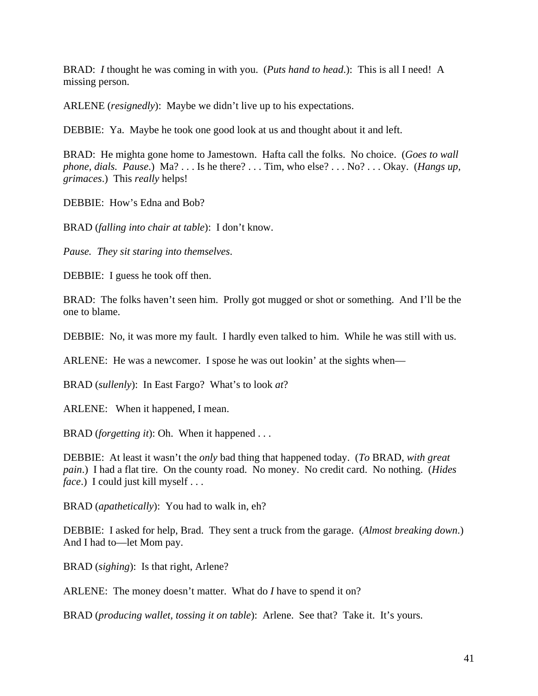BRAD: *I* thought he was coming in with you. (*Puts hand to head*.): This is all I need! A missing person.

ARLENE (*resignedly*): Maybe we didn't live up to his expectations.

DEBBIE: Ya. Maybe he took one good look at us and thought about it and left.

BRAD: He mighta gone home to Jamestown. Hafta call the folks. No choice. (*Goes to wall phone, dials. Pause*.) Ma? . . . Is he there? . . . Tim, who else? . . . No? . . . Okay. (*Hangs up, grimaces*.) This *really* helps!

DEBBIE: How's Edna and Bob?

BRAD (*falling into chair at table*): I don't know.

*Pause. They sit staring into themselves*.

DEBBIE: I guess he took off then.

BRAD: The folks haven't seen him. Prolly got mugged or shot or something. And I'll be the one to blame.

DEBBIE: No, it was more my fault. I hardly even talked to him. While he was still with us.

ARLENE: He was a newcomer. I spose he was out lookin' at the sights when—

BRAD (*sullenly*): In East Fargo? What's to look *at*?

ARLENE: When it happened, I mean.

BRAD (*forgetting it*): Oh. When it happened . . .

DEBBIE: At least it wasn't the *only* bad thing that happened today. (*To* BRAD, *with great pain*.) I had a flat tire. On the county road. No money. No credit card. No nothing. (*Hides face*.) I could just kill myself . . .

BRAD (*apathetically*): You had to walk in, eh?

DEBBIE: I asked for help, Brad. They sent a truck from the garage. (*Almost breaking down*.) And I had to—let Mom pay.

BRAD (*sighing*): Is that right, Arlene?

ARLENE: The money doesn't matter. What do *I* have to spend it on?

BRAD (*producing wallet, tossing it on table*): Arlene. See that? Take it. It's yours.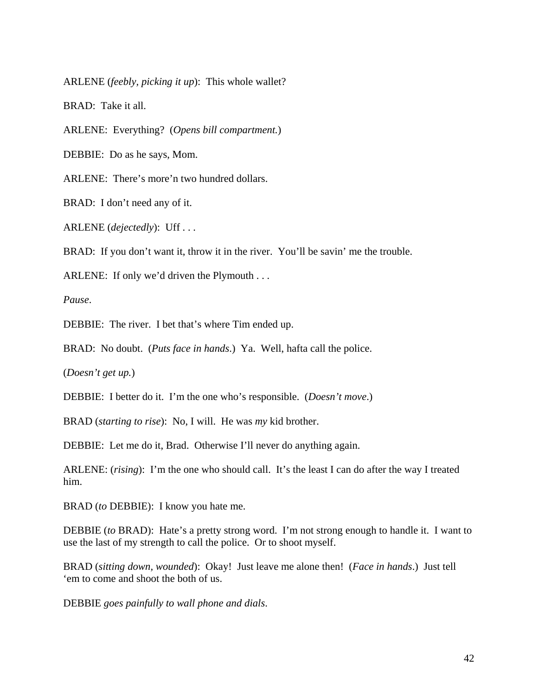ARLENE (*feebly, picking it up*): This whole wallet?

BRAD: Take it all.

ARLENE: Everything? (*Opens bill compartment.*)

DEBBIE: Do as he says, Mom.

ARLENE: There's more'n two hundred dollars.

BRAD: I don't need any of it.

ARLENE (*dejectedly*): Uff . . .

BRAD: If you don't want it, throw it in the river. You'll be savin' me the trouble.

ARLENE: If only we'd driven the Plymouth . . .

*Pause*.

DEBBIE: The river. I bet that's where Tim ended up.

BRAD: No doubt. (*Puts face in hands*.) Ya. Well, hafta call the police.

(*Doesn't get up.*)

DEBBIE: I better do it. I'm the one who's responsible. (*Doesn't move*.)

BRAD (*starting to rise*): No, I will. He was *my* kid brother.

DEBBIE: Let me do it, Brad. Otherwise I'll never do anything again.

ARLENE: (*rising*): I'm the one who should call. It's the least I can do after the way I treated him.

BRAD (*to* DEBBIE): I know you hate me.

DEBBIE (*to* BRAD): Hate's a pretty strong word. I'm not strong enough to handle it. I want to use the last of my strength to call the police. Or to shoot myself.

BRAD (*sitting down, wounded*): Okay! Just leave me alone then! (*Face in hands*.) Just tell 'em to come and shoot the both of us.

DEBBIE *goes painfully to wall phone and dials*.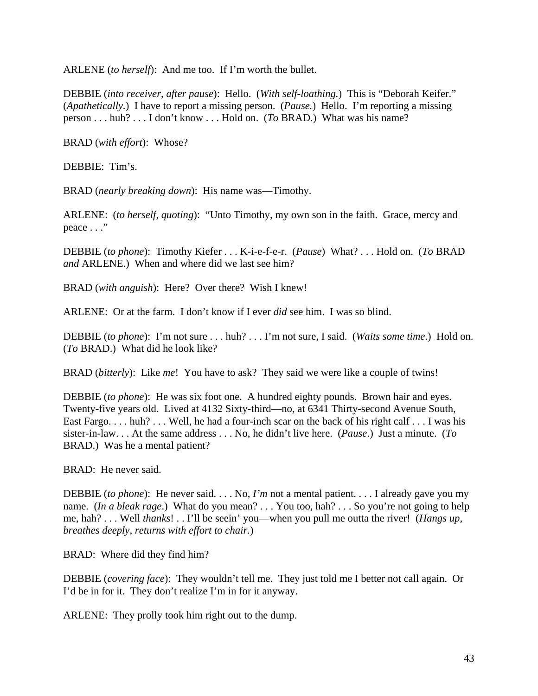ARLENE (*to herself*): And me too. If I'm worth the bullet.

DEBBIE (*into receiver, after pause*): Hello. (*With self-loathing.*) This is "Deborah Keifer." (*Apathetically.*) I have to report a missing person. (*Pause.*) Hello. I'm reporting a missing person . . . huh? . . . I don't know . . . Hold on. (*To* BRAD.) What was his name?

BRAD (*with effort*): Whose?

DEBBIE: Tim's.

BRAD (*nearly breaking down*): His name was—Timothy.

ARLENE: (*to herself, quoting*): "Unto Timothy, my own son in the faith. Grace, mercy and peace . . ."

DEBBIE (*to phone*): Timothy Kiefer . . . K-i-e-f-e-r. (*Pause*) What? . . . Hold on. (*To* BRAD *and* ARLENE.) When and where did we last see him?

BRAD (*with anguish*): Here? Over there? Wish I knew!

ARLENE: Or at the farm. I don't know if I ever *did* see him. I was so blind.

DEBBIE (*to phone*): I'm not sure . . . huh? . . . I'm not sure, I said. (*Waits some time*.) Hold on. (*To* BRAD.) What did he look like?

BRAD (*bitterly*): Like *me*! You have to ask? They said we were like a couple of twins!

DEBBIE (*to phone*): He was six foot one. A hundred eighty pounds. Brown hair and eyes. Twenty-five years old. Lived at 4132 Sixty-third—no, at 6341 Thirty-second Avenue South, East Fargo. . . . huh? . . . Well, he had a four-inch scar on the back of his right calf . . . I was his sister-in-law. . . At the same address . . . No, he didn't live here. (*Pause*.) Just a minute. (*To* BRAD.) Was he a mental patient?

BRAD: He never said.

DEBBIE (*to phone*): He never said. . . . No, *I'm* not a mental patient. . . . I already gave you my name. *(In a bleak rage.)* What do you mean? . . . You too, hah? . . . So you're not going to help me, hah? . . . Well *thanks*! . . I'll be seein' you—when you pull me outta the river! (*Hangs up, breathes deeply, returns with effort to chair.*)

BRAD: Where did they find him?

DEBBIE (*covering face*): They wouldn't tell me. They just told me I better not call again. Or I'd be in for it. They don't realize I'm in for it anyway.

ARLENE: They prolly took him right out to the dump.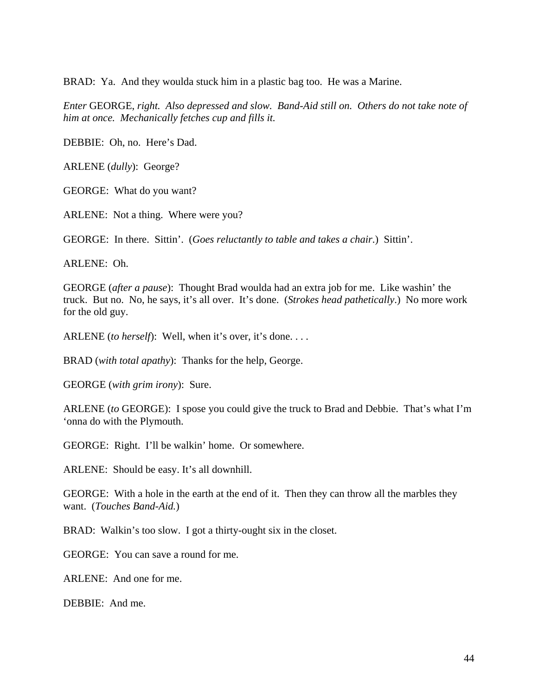BRAD: Ya. And they woulda stuck him in a plastic bag too. He was a Marine.

*Enter* GEORGE, *right. Also depressed and slow. Band-Aid still on. Others do not take note of him at once. Mechanically fetches cup and fills it.*

DEBBIE: Oh, no. Here's Dad.

ARLENE (*dully*): George?

GEORGE: What do you want?

ARLENE: Not a thing. Where were you?

GEORGE: In there. Sittin'. (*Goes reluctantly to table and takes a chair*.) Sittin'.

ARLENE: Oh.

GEORGE (*after a pause*): Thought Brad woulda had an extra job for me. Like washin' the truck. But no. No, he says, it's all over. It's done. (*Strokes head pathetically*.) No more work for the old guy.

ARLENE (*to herself*): Well, when it's over, it's done....

BRAD (*with total apathy*): Thanks for the help, George.

GEORGE (*with grim irony*): Sure.

ARLENE (*to* GEORGE): I spose you could give the truck to Brad and Debbie. That's what I'm 'onna do with the Plymouth.

GEORGE: Right. I'll be walkin' home. Or somewhere.

ARLENE: Should be easy. It's all downhill.

GEORGE: With a hole in the earth at the end of it. Then they can throw all the marbles they want. (*Touches Band-Aid.*)

BRAD: Walkin's too slow. I got a thirty-ought six in the closet.

GEORGE: You can save a round for me.

ARLENE: And one for me.

DEBBIE: And me.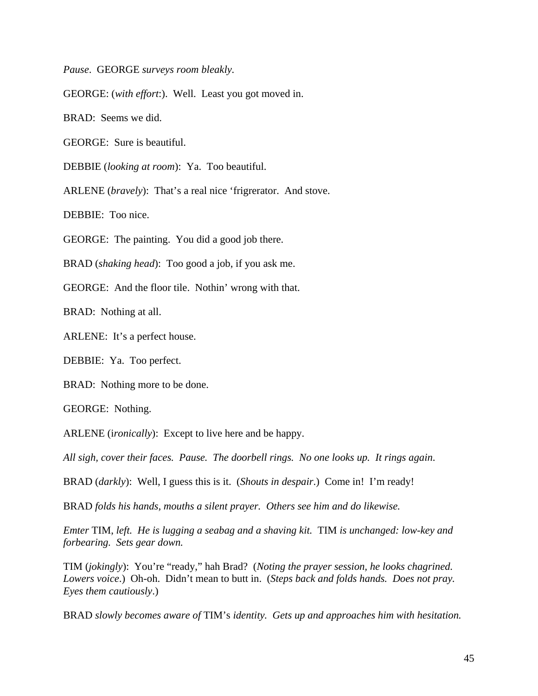*Pause*. GEORGE *surveys room bleakly.*

GEORGE: (*with effort*:). Well. Least you got moved in.

BRAD: Seems we did.

GEORGE: Sure is beautiful.

DEBBIE (*looking at room*): Ya. Too beautiful.

ARLENE (*bravely*): That's a real nice 'frigrerator. And stove.

DEBBIE: Too nice.

GEORGE: The painting. You did a good job there.

BRAD (*shaking head*): Too good a job, if you ask me.

GEORGE: And the floor tile. Nothin' wrong with that.

BRAD: Nothing at all.

ARLENE: It's a perfect house.

DEBBIE: Ya. Too perfect.

BRAD: Nothing more to be done.

GEORGE: Nothing.

ARLENE (i*ronically*): Except to live here and be happy.

*All sigh, cover their faces. Pause. The doorbell rings. No one looks up. It rings again*.

BRAD (*darkly*): Well, I guess this is it. (*Shouts in despair*.) Come in! I'm ready!

BRAD *folds his hands, mouths a silent prayer. Others see him and do likewise.* 

*Emter* TIM, *left. He is lugging a seabag and a shaving kit.* TIM *is unchanged: low-key and forbearing. Sets gear down.*

TIM (*jokingly*): You're "ready," hah Brad? (*Noting the prayer session, he looks chagrined. Lowers voice*.) Oh-oh. Didn't mean to butt in. (*Steps back and folds hands. Does not pray. Eyes them cautiously*.)

BRAD *slowly becomes aware of* TIM's *identity. Gets up and approaches him with hesitation.*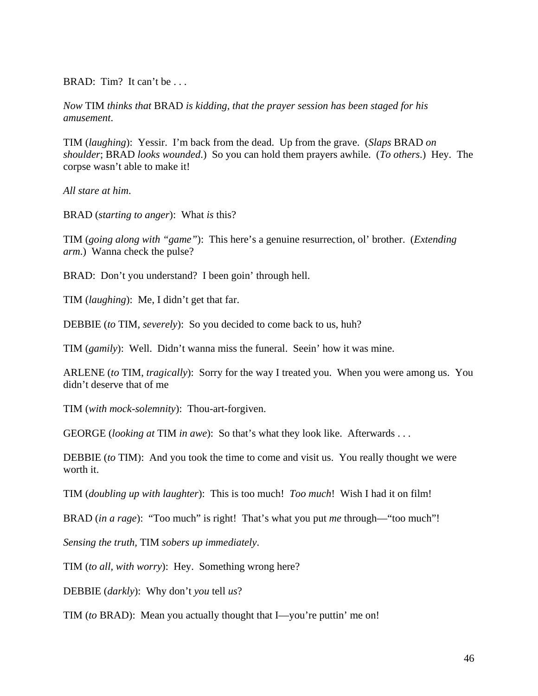BRAD: Tim? It can't be . . .

*Now* TIM *thinks that* BRAD *is kidding, that the prayer session has been staged for his amusement*.

TIM (*laughing*): Yessir. I'm back from the dead. Up from the grave. (*Slaps* BRAD *on shoulder*; BRAD *looks wounded*.) So you can hold them prayers awhile. (*To others*.) Hey. The corpse wasn't able to make it!

*All stare at him*.

BRAD (*starting to anger*): What *is* this?

TIM (*going along with "game"*): This here's a genuine resurrection, ol' brother. (*Extending arm*.) Wanna check the pulse?

BRAD: Don't you understand? I been goin' through hell.

TIM (*laughing*): Me, I didn't get that far.

DEBBIE (*to* TIM, *severely*): So you decided to come back to us, huh?

TIM (*gamily*): Well. Didn't wanna miss the funeral. Seein' how it was mine.

ARLENE (*to* TIM, *tragically*): Sorry for the way I treated you. When you were among us. You didn't deserve that of me

TIM (*with mock-solemnity*): Thou-art-forgiven.

GEORGE (*looking at* TIM *in awe*): So that's what they look like. Afterwards . . .

DEBBIE (*to* TIM): And you took the time to come and visit us. You really thought we were worth it.

TIM (*doubling up with laughter*): This is too much! *Too much*! Wish I had it on film!

BRAD (*in a rage*): "Too much" is right! That's what you put *me* through—"too much"!

*Sensing the truth,* TIM *sobers up immediately*.

TIM (*to all, with worry*): Hey. Something wrong here?

DEBBIE (*darkly*): Why don't *you* tell *us*?

TIM (*to* BRAD): Mean you actually thought that I—you're puttin' me on!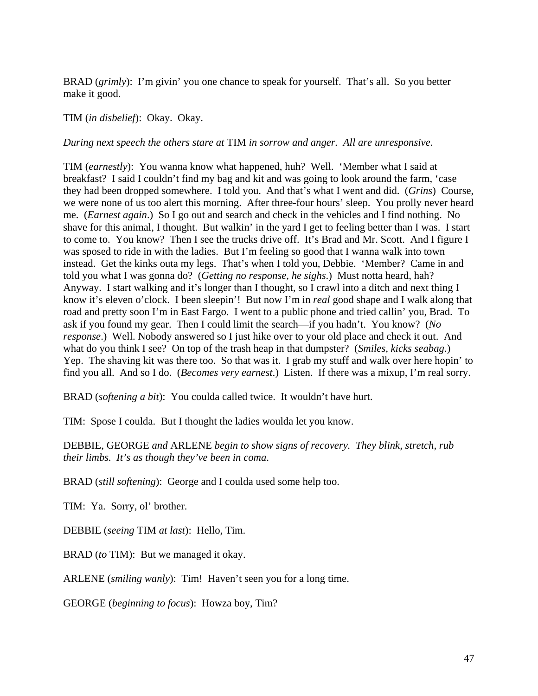BRAD (*grimly*): I'm givin' you one chance to speak for yourself. That's all. So you better make it good.

TIM (*in disbelief*): Okay. Okay.

*During next speech the others stare at* TIM *in sorrow and anger. All are unresponsive*.

TIM (*earnestly*): You wanna know what happened, huh? Well. 'Member what I said at breakfast? I said I couldn't find my bag and kit and was going to look around the farm, 'case they had been dropped somewhere. I told you. And that's what I went and did. (*Grins*) Course, we were none of us too alert this morning. After three-four hours' sleep. You prolly never heard me. (*Earnest again*.) So I go out and search and check in the vehicles and I find nothing. No shave for this animal, I thought. But walkin' in the yard I get to feeling better than I was. I start to come to. You know? Then I see the trucks drive off. It's Brad and Mr. Scott. And I figure I was sposed to ride in with the ladies. But I'm feeling so good that I wanna walk into town instead. Get the kinks outa my legs. That's when I told you, Debbie. 'Member? Came in and told you what I was gonna do? (*Getting no response, he sighs*.) Must notta heard, hah? Anyway. I start walking and it's longer than I thought, so I crawl into a ditch and next thing I know it's eleven o'clock. I been sleepin'! But now I'm in *real* good shape and I walk along that road and pretty soon I'm in East Fargo. I went to a public phone and tried callin' you, Brad. To ask if you found my gear. Then I could limit the search—if you hadn't. You know? (*No response*.) Well. Nobody answered so I just hike over to your old place and check it out. And what do you think I see? On top of the trash heap in that dumpster? (*Smiles, kicks seabag*.) Yep. The shaving kit was there too. So that was it. I grab my stuff and walk over here hopin' to find you all. And so I do. (*Becomes very earnest*.) Listen. If there was a mixup, I'm real sorry.

BRAD (*softening a bit*): You coulda called twice. It wouldn't have hurt.

TIM: Spose I coulda. But I thought the ladies woulda let you know.

DEBBIE, GEORGE *and* ARLENE *begin to show signs of recovery. They blink, stretch, rub their limbs. It's as though they've been in coma*.

BRAD (*still softening*): George and I coulda used some help too.

TIM: Ya. Sorry, ol' brother.

DEBBIE (*seeing* TIM *at last*): Hello, Tim.

BRAD (*to* TIM): But we managed it okay.

ARLENE (*smiling wanly*): Tim! Haven't seen you for a long time.

GEORGE (*beginning to focus*): Howza boy, Tim?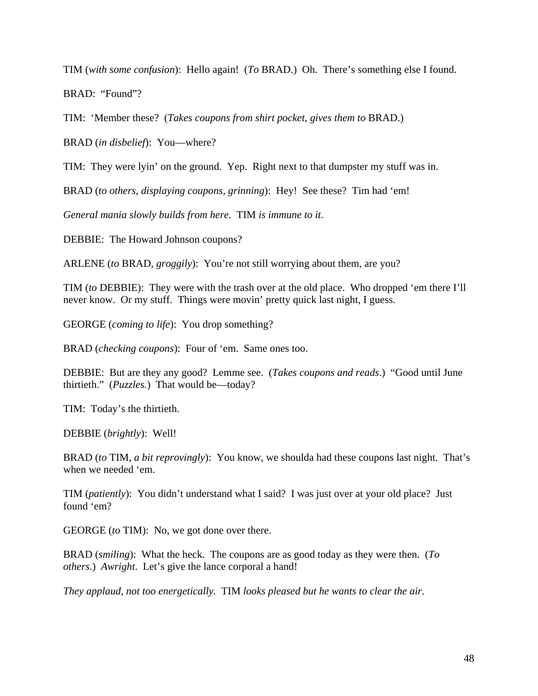TIM (*with some confusion*): Hello again! (*To* BRAD.) Oh. There's something else I found. BRAD: "Found"?

TIM: 'Member these? (*Takes coupons from shirt pocket, gives them to* BRAD.)

BRAD (*in disbelief*): You—where?

TIM: They were lyin' on the ground. Yep. Right next to that dumpster my stuff was in.

BRAD (*to others, displaying coupons, grinning*): Hey! See these? Tim had 'em!

*General mania slowly builds from here.* TIM *is immune to it*.

DEBBIE: The Howard Johnson coupons?

ARLENE (*to* BRAD, *groggily*): You're not still worrying about them, are you?

TIM (*to* DEBBIE): They were with the trash over at the old place. Who dropped 'em there I'll never know. Or my stuff. Things were movin' pretty quick last night, I guess.

GEORGE (*coming to life*): You drop something?

BRAD (*checking coupons*): Four of 'em. Same ones too.

DEBBIE: But are they any good? Lemme see. (*Takes coupons and reads*.) "Good until June thirtieth." (*Puzzles.*) That would be—today?

TIM: Today's the thirtieth.

DEBBIE (*brightly*): Well!

BRAD (*to* TIM, *a bit reprovingly*): You know, we shoulda had these coupons last night. That's when we needed 'em.

TIM (*patiently*): You didn't understand what I said? I was just over at your old place? Just found 'em?

GEORGE (*to* TIM): No, we got done over there.

BRAD (*smiling*): What the heck. The coupons are as good today as they were then. (*To others*.) *Awright*. Let's give the lance corporal a hand!

*They applaud, not too energetically.* TIM *looks pleased but he wants to clear the air*.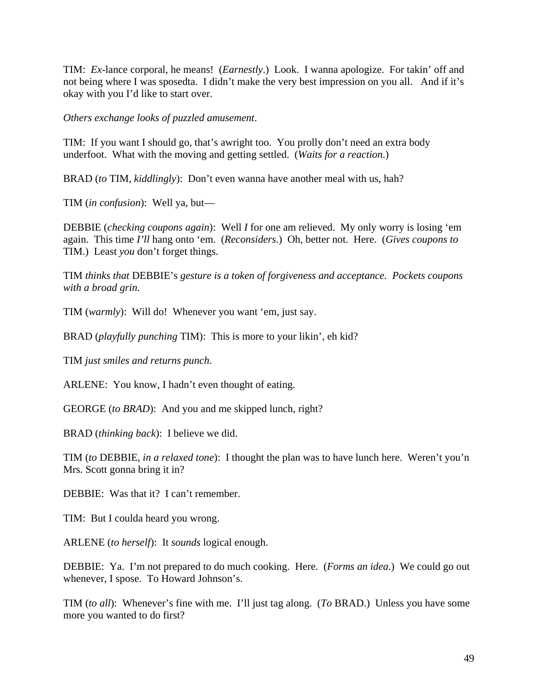TIM: *Ex*-lance corporal, he means! (*Earnestly*.) Look. I wanna apologize. For takin' off and not being where I was sposedta. I didn't make the very best impression on you all. And if it's okay with you I'd like to start over.

*Others exchange looks of puzzled amusement*.

TIM: If you want I should go, that's awright too. You prolly don't need an extra body underfoot. What with the moving and getting settled. (*Waits for a reaction*.)

BRAD (*to* TIM, *kiddlingly*): Don't even wanna have another meal with us, hah?

TIM (*in confusion*): Well ya, but—

DEBBIE (*checking coupons again*): Well *I* for one am relieved. My only worry is losing 'em again. This time *I'll* hang onto 'em. (*Reconsiders*.) Oh, better not. Here. (*Gives coupons to* TIM.) Least *you* don't forget things.

TIM *thinks that* DEBBIE's *gesture is a token of forgiveness and acceptance. Pockets coupons with a broad grin*.

TIM (*warmly*): Will do! Whenever you want 'em, just say.

BRAD (*playfully punching* TIM): This is more to your likin', eh kid?

TIM *just smiles and returns punch*.

ARLENE: You know, I hadn't even thought of eating.

GEORGE (*to BRAD*): And you and me skipped lunch, right?

BRAD (*thinking back*): I believe we did.

TIM (*to* DEBBIE, *in a relaxed tone*): I thought the plan was to have lunch here. Weren't you'n Mrs. Scott gonna bring it in?

DEBBIE: Was that it? I can't remember.

TIM: But I coulda heard you wrong.

ARLENE (*to herself*): It *sounds* logical enough.

DEBBIE: Ya. I'm not prepared to do much cooking. Here. (*Forms an idea*.) We could go out whenever, I spose. To Howard Johnson's.

TIM (*to all*): Whenever's fine with me. I'll just tag along. (*To* BRAD.) Unless you have some more you wanted to do first?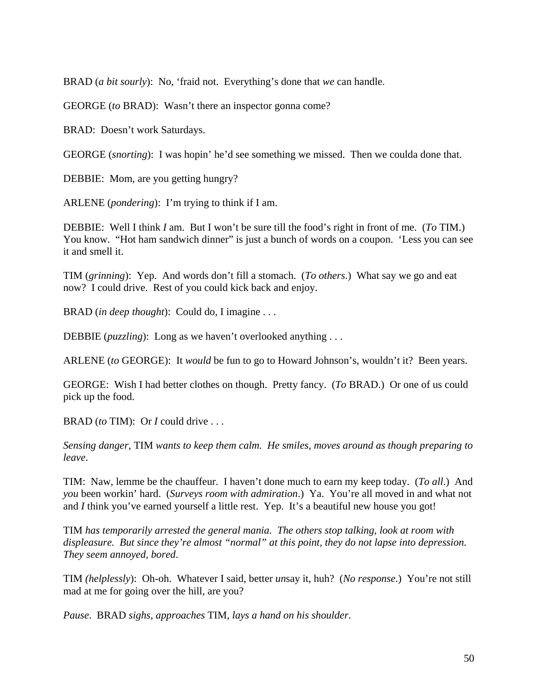BRAD (*a bit sourly*): No, 'fraid not. Everything's done that *we* can handle.

GEORGE (*to* BRAD): Wasn't there an inspector gonna come?

BRAD: Doesn't work Saturdays.

GEORGE (*snorting*): I was hopin' he'd see something we missed. Then we coulda done that.

DEBBIE: Mom, are you getting hungry?

ARLENE (*pondering*): I'm trying to think if I am.

DEBBIE: Well I think *I* am. But I won't be sure till the food's right in front of me. (*To* TIM.) You know. "Hot ham sandwich dinner" is just a bunch of words on a coupon. 'Less you can see it and smell it.

TIM (*grinning*): Yep. And words don't fill a stomach. (*To others*.) What say we go and eat now? I could drive. Rest of you could kick back and enjoy.

BRAD (*in deep thought*): Could do, I imagine . . .

DEBBIE (*puzzling*): Long as we haven't overlooked anything . . .

ARLENE (*to* GEORGE): It *would* be fun to go to Howard Johnson's, wouldn't it? Been years.

GEORGE: Wish I had better clothes on though. Pretty fancy. (*To* BRAD.) Or one of us could pick up the food.

BRAD (*to* TIM): Or *I* could drive . . .

*Sensing danger,* TIM *wants to keep them calm. He smiles, moves around as though preparing to leave*.

TIM: Naw, lemme be the chauffeur. I haven't done much to earn my keep today. (*To all*.) And *you* been workin' hard. (*Surveys room with admiration*.) Ya. You're all moved in and what not and *I* think you've earned yourself a little rest. Yep. It's a beautiful new house you got!

TIM *has temporarily arrested the general mania. The others stop talking, look at room with displeasure. But since they're almost "normal" at this point, they do not lapse into depression. They seem annoyed, bored*.

TIM *(helplessly*): Oh-oh. Whatever I said, better *un*say it, huh? (*No response*.) You're not still mad at me for going over the hill, are you?

*Pause*. BRAD *sighs, approaches* TIM, *lays a hand on his shoulder*.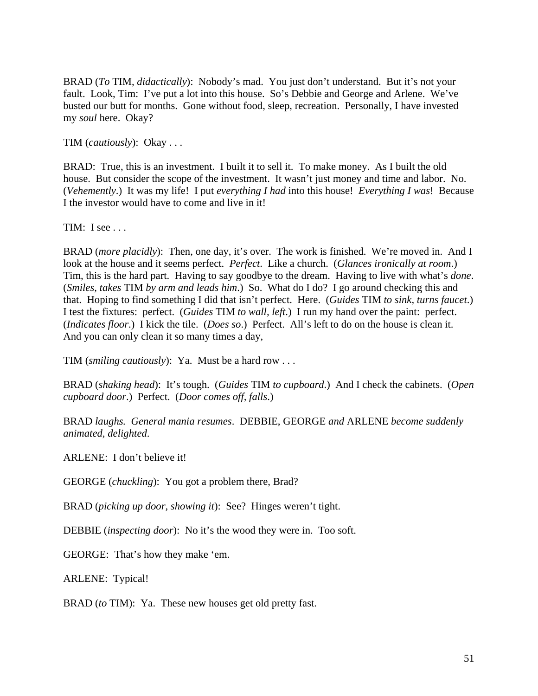BRAD (*To* TIM, *didactically*): Nobody's mad. You just don't understand. But it's not your fault. Look, Tim: I've put a lot into this house. So's Debbie and George and Arlene. We've busted our butt for months. Gone without food, sleep, recreation. Personally, I have invested my *soul* here. Okay?

TIM (*cautiously*): Okay . . .

BRAD: True, this is an investment. I built it to sell it. To make money. As I built the old house. But consider the scope of the investment. It wasn't just money and time and labor. No. (*Vehemently*.) It was my life! I put *everything I had* into this house! *Everything I was*! Because I the investor would have to come and live in it!

TIM: I see . . .

BRAD (*more placidly*): Then, one day, it's over. The work is finished. We're moved in. And I look at the house and it seems perfect. *Perfect*. Like a church. (*Glances ironically at room*.) Tim, this is the hard part. Having to say goodbye to the dream. Having to live with what's *done*. (*Smiles, takes* TIM *by arm and leads him*.) So. What do I do? I go around checking this and that. Hoping to find something I did that isn't perfect. Here. (*Guides* TIM *to sink, turns faucet*.) I test the fixtures: perfect. (*Guides* TIM *to wall, left*.) I run my hand over the paint: perfect. (*Indicates floor*.) I kick the tile. (*Does so*.) Perfect. All's left to do on the house is clean it. And you can only clean it so many times a day,

TIM (*smiling cautiously*): Ya. Must be a hard row . . .

BRAD (*shaking head*): It's tough. (*Guides* TIM *to cupboard*.) And I check the cabinets. (*Open cupboard door*.) Perfect. (*Door comes off, falls*.)

BRAD *laughs. General mania resumes*. DEBBIE, GEORGE *and* ARLENE *become suddenly animated, delighted*.

ARLENE: I don't believe it!

GEORGE (*chuckling*): You got a problem there, Brad?

BRAD (*picking up door, showing it*): See? Hinges weren't tight.

DEBBIE (*inspecting door*): No it's the wood they were in. Too soft.

GEORGE: That's how they make 'em.

ARLENE: Typical!

BRAD (*to* TIM): Ya. These new houses get old pretty fast.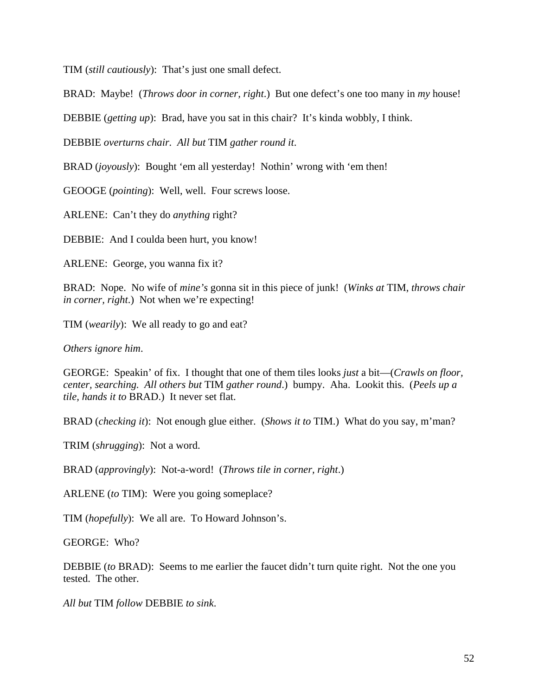TIM (*still cautiously*): That's just one small defect.

BRAD: Maybe! (*Throws door in corner, right*.) But one defect's one too many in *my* house!

DEBBIE (*getting up*): Brad, have you sat in this chair? It's kinda wobbly, I think.

DEBBIE *overturns chair. All but* TIM *gather round it*.

BRAD (*joyously*): Bought 'em all yesterday! Nothin' wrong with 'em then!

GEOOGE (*pointing*): Well, well. Four screws loose.

ARLENE: Can't they do *anything* right?

DEBBIE: And I coulda been hurt, you know!

ARLENE: George, you wanna fix it?

BRAD: Nope. No wife of *mine's* gonna sit in this piece of junk! (*Winks at* TIM, *throws chair in corner, right*.) Not when we're expecting!

TIM (*wearily*): We all ready to go and eat?

*Others ignore him*.

GEORGE: Speakin' of fix. I thought that one of them tiles looks *just* a bit—(*Crawls on floor, center, searching. All others but* TIM *gather round*.) bumpy. Aha. Lookit this. (*Peels up a tile, hands it to* BRAD.) It never set flat.

BRAD (*checking it*): Not enough glue either. (*Shows it to* TIM.) What do you say, m'man?

TRIM (*shrugging*): Not a word.

BRAD (*approvingly*): Not-a-word! (*Throws tile in corner, right*.)

ARLENE (*to* TIM): Were you going someplace?

TIM (*hopefully*): We all are. To Howard Johnson's.

GEORGE: Who?

DEBBIE (*to* BRAD): Seems to me earlier the faucet didn't turn quite right. Not the one you tested. The other.

*All but* TIM *follow* DEBBIE *to sink*.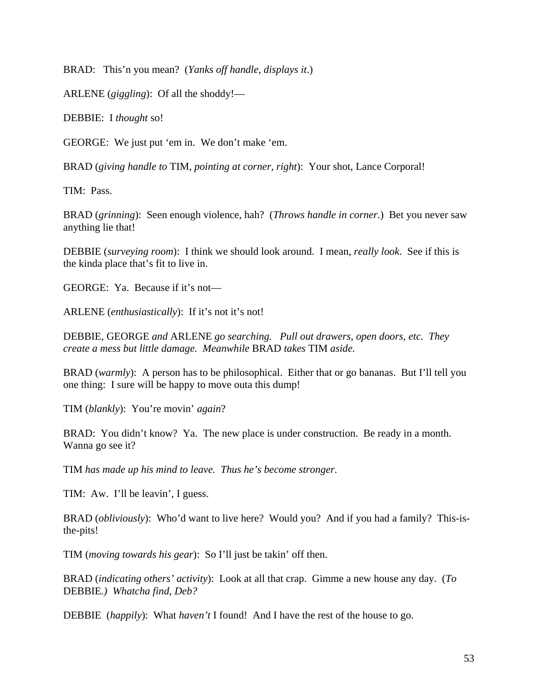BRAD: This'n you mean? (*Yanks off handle, displays it*.)

ARLENE (*giggling*): Of all the shoddy!—

DEBBIE: I *thought* so!

GEORGE: We just put 'em in. We don't make 'em.

BRAD (*giving handle to* TIM, *pointing at corner, right*): Your shot, Lance Corporal!

TIM: Pass.

BRAD (*grinning*): Seen enough violence, hah? (*Throws handle in corner*.) Bet you never saw anything lie that!

DEBBIE (*surveying room*): I think we should look around. I mean, *really look*. See if this is the kinda place that's fit to live in.

GEORGE: Ya. Because if it's not—

ARLENE (*enthusiastically*): If it's not it's not!

DEBBIE, GEORGE *and* ARLENE *go searching. Pull out drawers, open doors, etc. They create a mess but little damage. Meanwhile* BRAD *takes* TIM *aside.* 

BRAD (*warmly*): A person has to be philosophical. Either that or go bananas. But I'll tell you one thing: I sure will be happy to move outa this dump!

TIM (*blankly*): You're movin' *again*?

BRAD: You didn't know? Ya. The new place is under construction. Be ready in a month. Wanna go see it?

TIM *has made up his mind to leave. Thus he's become stronger*.

TIM: Aw. I'll be leavin', I guess.

BRAD (*obliviously*): Who'd want to live here? Would you? And if you had a family? This-isthe-pits!

TIM (*moving towards his gear*): So I'll just be takin' off then.

BRAD (*indicating others' activity*): Look at all that crap. Gimme a new house any day. (*To* DEBBIE*.) Whatcha find, Deb?* 

DEBBIE (*happily*): What *haven't* I found! And I have the rest of the house to go.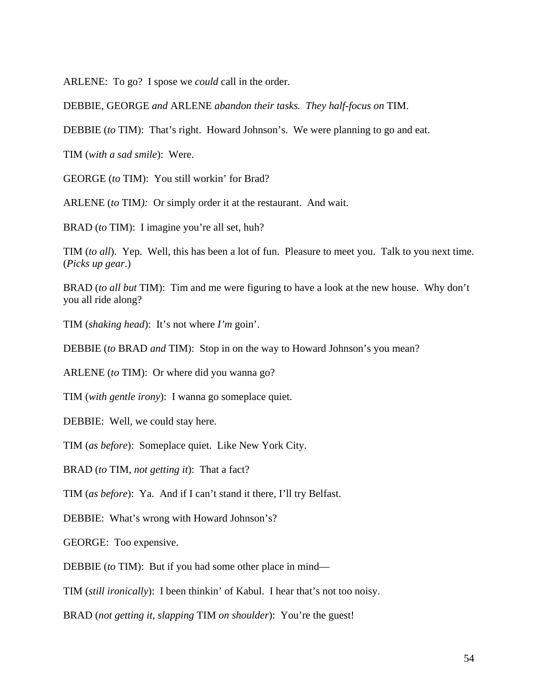ARLENE: To go? I spose we *could* call in the order.

DEBBIE, GEORGE *and* ARLENE *abandon their tasks. They half-focus on* TIM.

DEBBIE (*to* TIM): That's right. Howard Johnson's. We were planning to go and eat.

TIM (*with a sad smile*): Were.

GEORGE (*to* TIM): You still workin' for Brad?

ARLENE (*to* TIM*):* Or simply order it at the restaurant. And wait.

BRAD (*to* TIM): I imagine you're all set, huh?

TIM (*to all*). Yep. Well, this has been a lot of fun. Pleasure to meet you. Talk to you next time. (*Picks up gear*.)

BRAD (*to all but* TIM): Tim and me were figuring to have a look at the new house. Why don't you all ride along?

TIM (*shaking head*): It's not where *I'm* goin'.

DEBBIE (*to* BRAD *and* TIM): Stop in on the way to Howard Johnson's you mean?

ARLENE (*to* TIM): Or where did you wanna go?

TIM (*with gentle irony*): I wanna go someplace quiet.

DEBBIE: Well, we could stay here.

TIM (*as before*): Someplace quiet. Like New York City.

BRAD (*to* TIM, *not getting it*): That a fact?

TIM (*as before*): Ya. And if I can't stand it there, I'll try Belfast.

DEBBIE: What's wrong with Howard Johnson's?

GEORGE: Too expensive.

DEBBIE (*to* TIM): But if you had some other place in mind—

TIM (*still ironically*): I been thinkin' of Kabul. I hear that's not too noisy.

BRAD (*not getting it, slapping* TIM *on shoulder*): You're the guest!